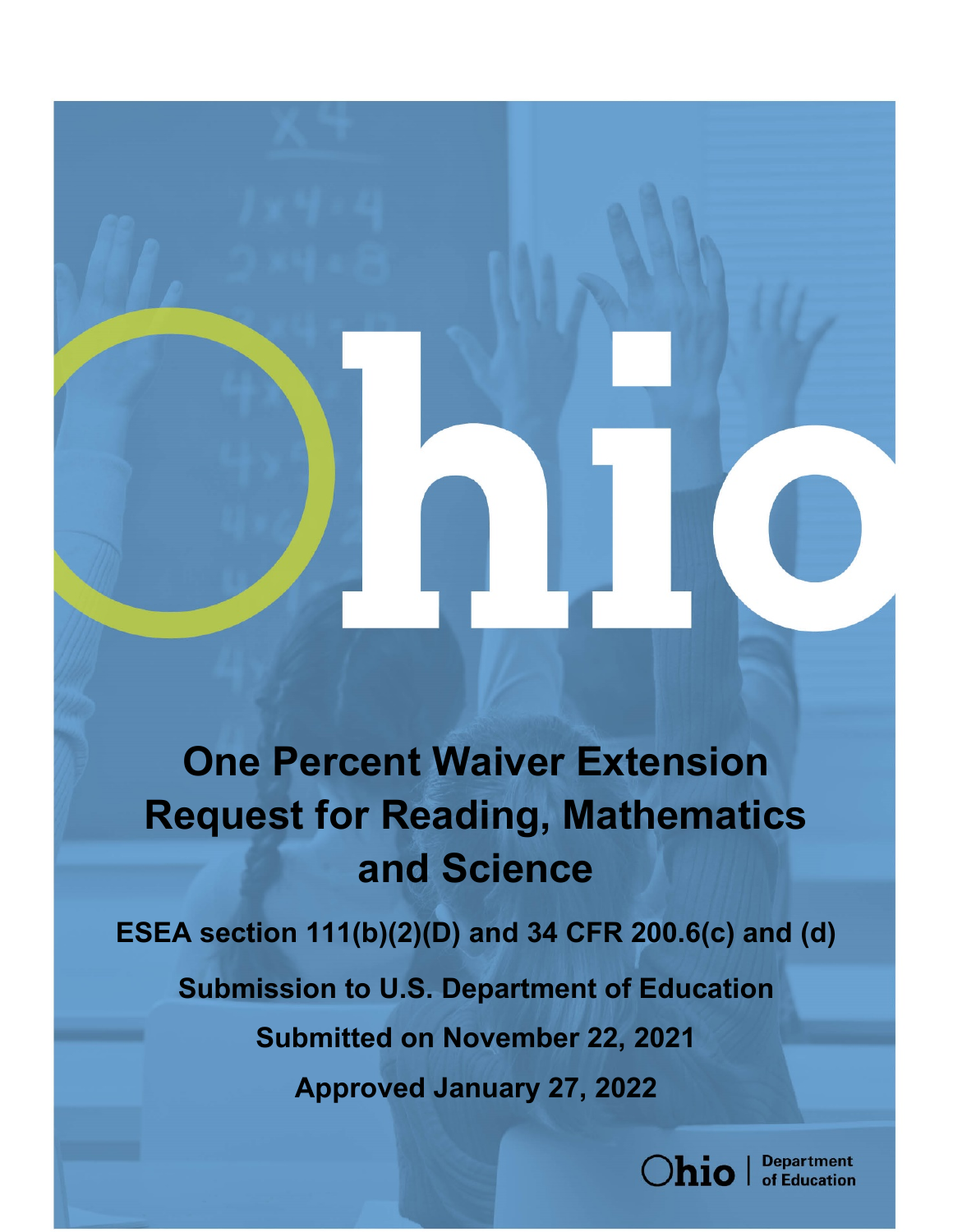# **One Percent Waiver Extension Request for Reading, Mathematics and Science**

**ESEA section 111(b)(2)(D) and 34 CFR 200.6(c) and (d) Submission to U.S. Department of Education Submitted on November 22, 2021 Approved January 27, 2022**

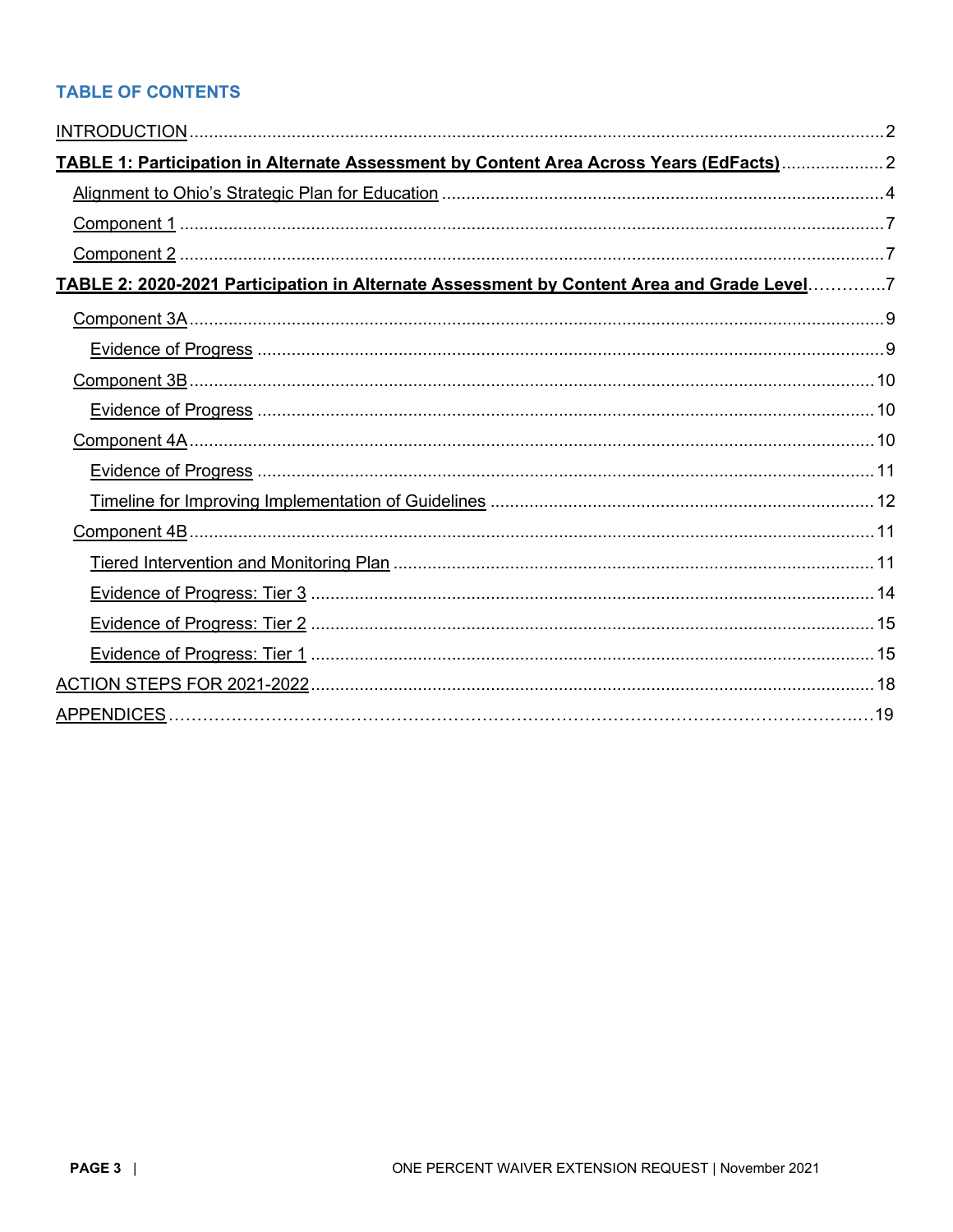# **TABLE OF CONTENTS**

<span id="page-2-0"></span>

| TABLE 1: Participation in Alternate Assessment by Content Area Across Years (EdFacts) 2   |  |
|-------------------------------------------------------------------------------------------|--|
|                                                                                           |  |
|                                                                                           |  |
|                                                                                           |  |
| TABLE 2: 2020-2021 Participation in Alternate Assessment by Content Area and Grade Level7 |  |
|                                                                                           |  |
|                                                                                           |  |
|                                                                                           |  |
|                                                                                           |  |
|                                                                                           |  |
|                                                                                           |  |
|                                                                                           |  |
|                                                                                           |  |
|                                                                                           |  |
|                                                                                           |  |
|                                                                                           |  |
|                                                                                           |  |
|                                                                                           |  |
|                                                                                           |  |
|                                                                                           |  |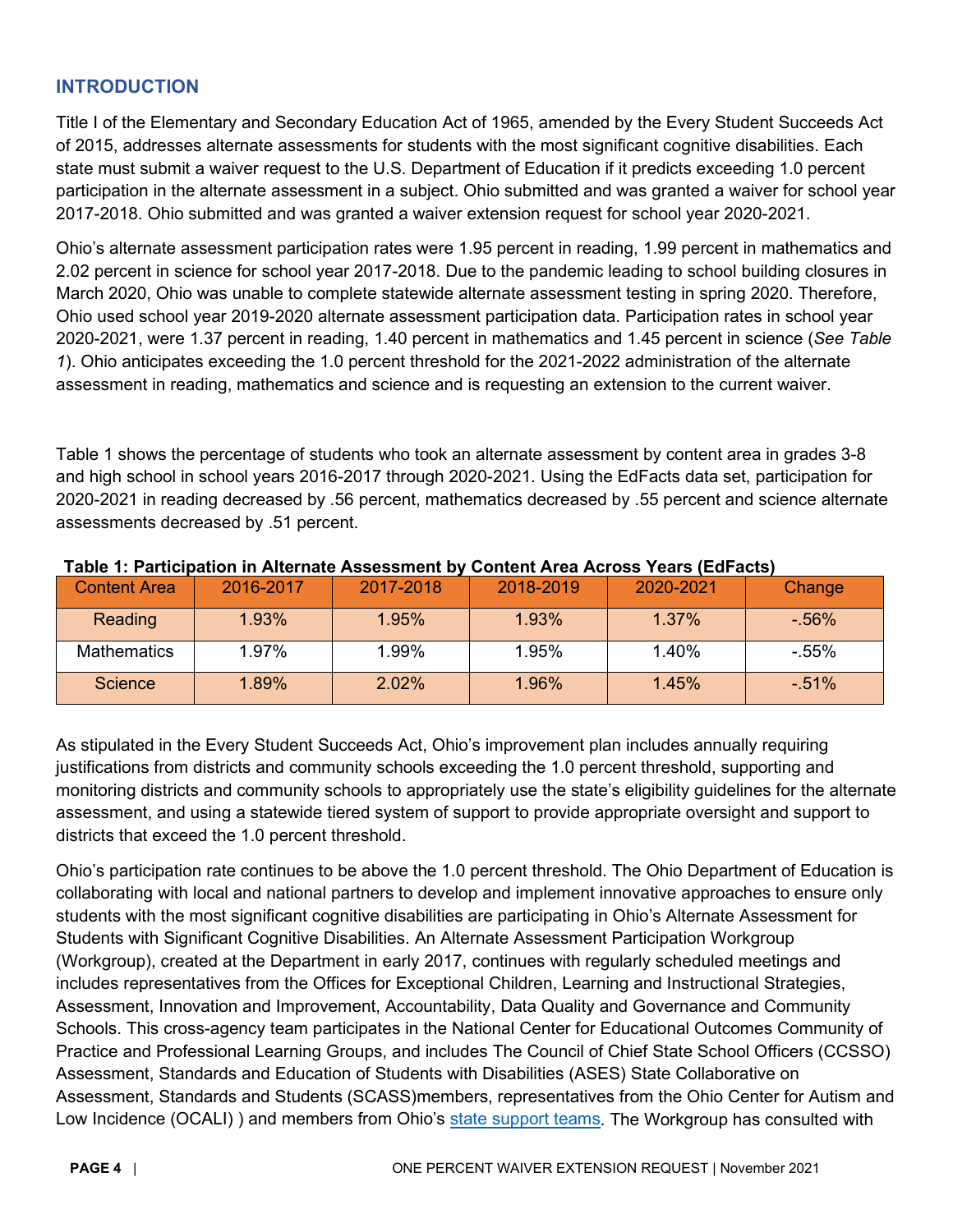# **INTRODUCTION**

Title I of the Elementary and Secondary Education Act of 1965, amended by the Every Student Succeeds Act of 2015, addresses alternate assessments for students with the most significant cognitive disabilities. Each state must submit a waiver request to the U.S. Department of Education if it predicts exceeding 1.0 percent participation in the alternate assessment in a subject. Ohio submitted and was granted a waiver for school year 2017-2018. Ohio submitted and was granted a waiver extension request for school year 2020-2021.

Ohio's alternate assessment participation rates were 1.95 percent in reading, 1.99 percent in mathematics and 2.02 percent in science for school year 2017-2018. Due to the pandemic leading to school building closures in March 2020, Ohio was unable to complete statewide alternate assessment testing in spring 2020. Therefore, Ohio used school year 2019-2020 alternate assessment participation data. Participation rates in school year 2020-2021, were 1.37 percent in reading, 1.40 percent in mathematics and 1.45 percent in science (*See Table 1*). Ohio anticipates exceeding the 1.0 percent threshold for the 2021-2022 administration of the alternate assessment in reading, mathematics and science and is requesting an extension to the current waiver.

Table 1 shows the percentage of students who took an alternate assessment by content area in grades 3-8 and high school in school years 2016-2017 through 2020-2021. Using the EdFacts data set, participation for 2020-2021 in reading decreased by .56 percent, mathematics decreased by .55 percent and science alternate assessments decreased by .51 percent.

| <b>Content Area</b> | 2016-2017 | 2017-2018 | 2018-2019 | 2020-2021 | Change  |
|---------------------|-----------|-----------|-----------|-----------|---------|
| Reading             | 1.93%     | 1.95%     | 1.93%     | 1.37%     | $-56%$  |
| <b>Mathematics</b>  | 1.97%     | 1.99%     | 1.95%     | 1.40%     | $-55\%$ |
| <b>Science</b>      | 1.89%     | $2.02\%$  | 1.96%     | 1.45%     | $-51%$  |

#### <span id="page-3-0"></span>**Table 1: Participation in Alternate Assessment by Content Area Across Years (EdFacts)**

As stipulated in the Every Student Succeeds Act, Ohio's improvement plan includes annually requiring justifications from districts and community schools exceeding the 1.0 percent threshold, supporting and monitoring districts and community schools to appropriately use the state's eligibility guidelines for the alternate assessment, and using a statewide tiered system of support to provide appropriate oversight and support to districts that exceed the 1.0 percent threshold.

Ohio's participation rate continues to be above the 1.0 percent threshold. The Ohio Department of Education is collaborating with local and national partners to develop and implement innovative approaches to ensure only students with the most significant cognitive disabilities are participating in Ohio's Alternate Assessment for Students with Significant Cognitive Disabilities. An Alternate Assessment Participation Workgroup (Workgroup), created at the Department in early 2017, continues with regularly scheduled meetings and includes representatives from the Offices for Exceptional Children, Learning and Instructional Strategies, Assessment, Innovation and Improvement, Accountability, Data Quality and Governance and Community Schools. This cross-agency team participates in the National Center for Educational Outcomes Community of Practice and Professional Learning Groups, and includes The Council of Chief State School Officers (CCSSO) Assessment, Standards and Education of Students with Disabilities (ASES) State Collaborative on Assessment, Standards and Students (SCASS)members, representatives from the Ohio Center for Autism and Low Incidence (OCALI)) and members from Ohio's [state support teams.](http://education.ohio.gov/Topics/District-and-School-Continuous-Improvement/State-Support-Teams) The Workgroup has consulted with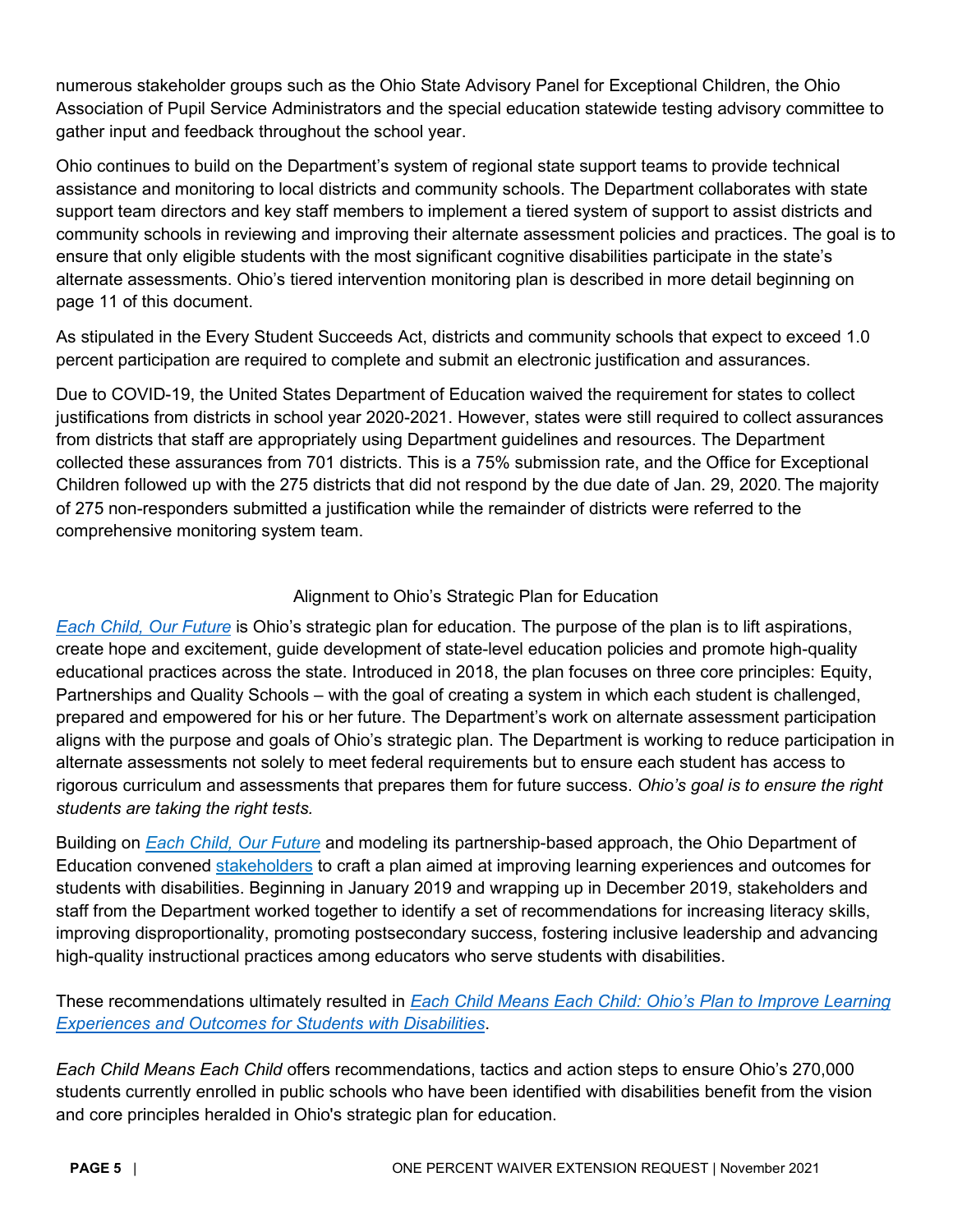numerous stakeholder groups such as the Ohio State Advisory Panel for Exceptional Children, the Ohio Association of Pupil Service Administrators and the special education statewide testing advisory committee to gather input and feedback throughout the school year.

Ohio continues to build on the Department's system of regional state support teams to provide technical assistance and monitoring to local districts and community schools. The Department collaborates with state support team directors and key staff members to implement a tiered system of support to assist districts and community schools in reviewing and improving their alternate assessment policies and practices. The goal is to ensure that only eligible students with the most significant cognitive disabilities participate in the state's alternate assessments. Ohio's tiered intervention monitoring plan is described in more detail beginning on page 11 of this document.

As stipulated in the Every Student Succeeds Act, districts and community schools that expect to exceed 1.0 percent participation are required to complete and submit an electronic justification and assurances.

Due to COVID-19, the United States Department of Education waived the requirement for states to collect justifications from districts in school year 2020-2021. However, states were still required to collect assurances from districts that staff are appropriately using Department guidelines and resources. The Department collected these assurances from 701 districts. This is a 75% submission rate, and the Office for Exceptional Children followed up with the 275 districts that did not respond by the due date of Jan. 29, 2020. The majority of 275 non-responders submitted a justification while the remainder of districts were referred to the comprehensive monitoring system team.

# Alignment to Ohio's Strategic Plan for Education

<span id="page-4-0"></span>*[Each Child, Our Future](http://education.ohio.gov/getattachment/About/Ohios-Strategic-Plan-for-Education/Final-Strategic-Plan-Board-Approved.pdf.aspx?lang=en-US)* is Ohio's strategic plan for education. The purpose of the plan is to lift aspirations, create hope and excitement, guide development of state-level education policies and promote high-quality educational practices across the state. Introduced in 2018, the plan focuses on three core principles: Equity, Partnerships and Quality Schools – with the goal of creating a system in which each student is challenged, prepared and empowered for his or her future. The Department's work on alternate assessment participation aligns with the purpose and goals of Ohio's strategic plan. The Department is working to reduce participation in alternate assessments not solely to meet federal requirements but to ensure each student has access to rigorous curriculum and assessments that prepares them for future success. *Ohio's goal is to ensure the right students are taking the right tests.* 

Building on *[Each Child, Our Future](https://education.ohio.gov/About/EachChildOurFuture)* and modeling its partnership-based approach, the Ohio Department of Education convened [stakeholders](http://education.ohio.gov/Topics/Special-Education/Improving-Educational-Experiences-and-Outcomes-for/Improving-Educational-Experiences-and-Outcomes-for) to craft a plan aimed at improving learning experiences and outcomes for students with disabilities. Beginning in January 2019 and wrapping up in December 2019, stakeholders and staff from the Department worked together to identify a set of recommendations for increasing literacy skills, improving disproportionality, promoting postsecondary success, fostering inclusive leadership and advancing high-quality instructional practices among educators who serve students with disabilities.

These recommendations ultimately resulted in *[Each Child Means Each Child: Ohio's Plan to Improve Learning](http://education.ohio.gov/Topics/Special-Education/Improving-Educational-Experiences-and-Outcomes)  [Experiences and Outcomes for Students with Disabilities](http://education.ohio.gov/Topics/Special-Education/Improving-Educational-Experiences-and-Outcomes)*.

*Each Child Means Each Child* offers recommendations, tactics and action steps to ensure Ohio's 270,000 students currently enrolled in public schools who have been identified with disabilities benefit from the vision and core principles heralded in Ohio's strategic plan for education.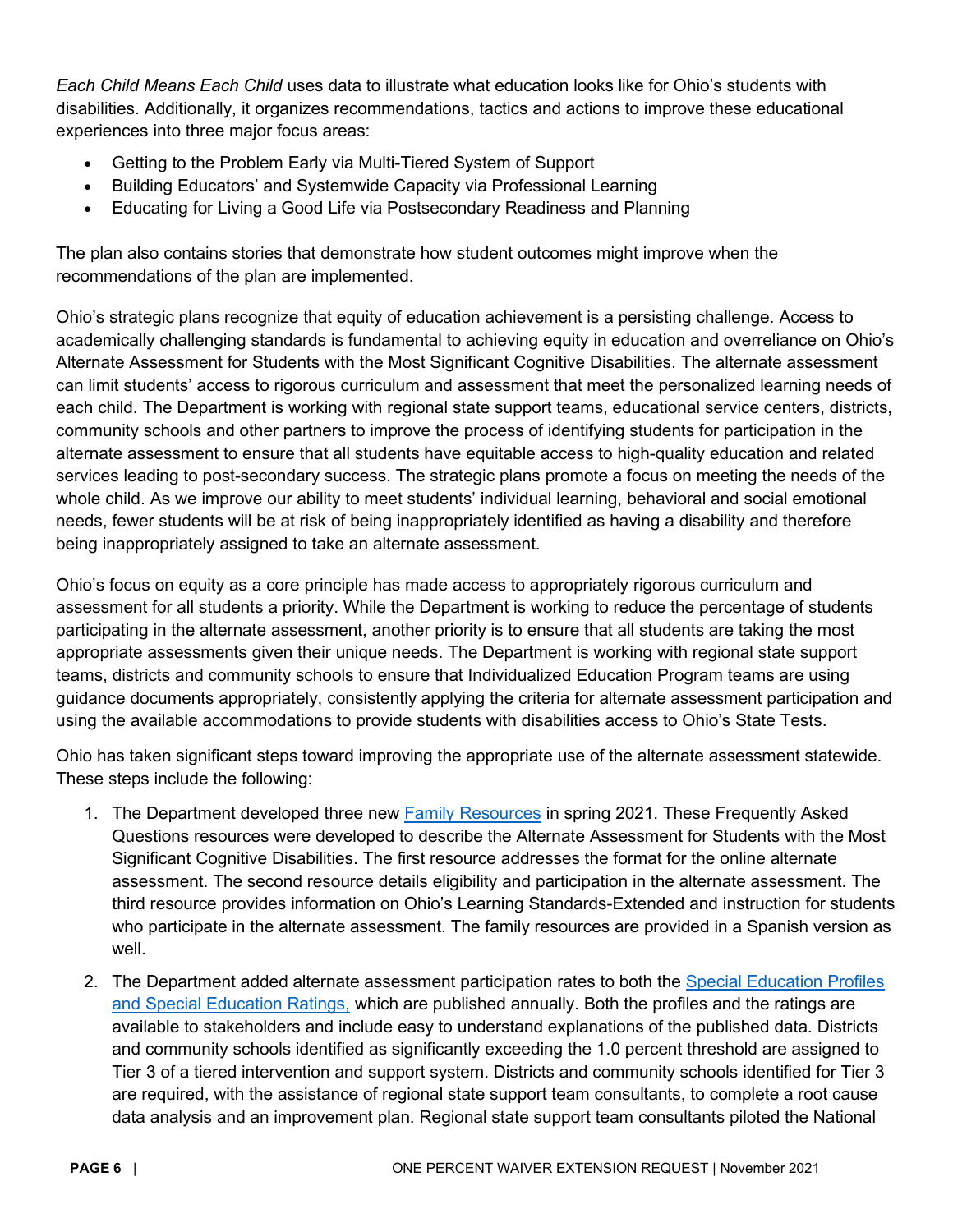*Each Child Means Each Child* uses data to illustrate what education looks like for Ohio's students with disabilities. Additionally, it organizes recommendations, tactics and actions to improve these educational experiences into three major focus areas:

- Getting to the Problem Early via Multi-Tiered System of Support
- Building Educators' and Systemwide Capacity via Professional Learning
- Educating for Living a Good Life via Postsecondary Readiness and Planning

The plan also contains stories that demonstrate how student outcomes might improve when the recommendations of the plan are implemented.

Ohio's strategic plans recognize that equity of education achievement is a persisting challenge. Access to academically challenging standards is fundamental to achieving equity in education and overreliance on Ohio's Alternate Assessment for Students with the Most Significant Cognitive Disabilities. The alternate assessment can limit students' access to rigorous curriculum and assessment that meet the personalized learning needs of each child. The Department is working with regional state support teams, educational service centers, districts, community schools and other partners to improve the process of identifying students for participation in the alternate assessment to ensure that all students have equitable access to high-quality education and related services leading to post-secondary success. The strategic plans promote a focus on meeting the needs of the whole child. As we improve our ability to meet students' individual learning, behavioral and social emotional needs, fewer students will be at risk of being inappropriately identified as having a disability and therefore being inappropriately assigned to take an alternate assessment.

Ohio's focus on equity as a core principle has made access to appropriately rigorous curriculum and assessment for all students a priority. While the Department is working to reduce the percentage of students participating in the alternate assessment, another priority is to ensure that all students are taking the most appropriate assessments given their unique needs. The Department is working with regional state support teams, districts and community schools to ensure that Individualized Education Program teams are using guidance documents appropriately, consistently applying the criteria for alternate assessment participation and using the available accommodations to provide students with disabilities access to Ohio's State Tests.

Ohio has taken significant steps toward improving the appropriate use of the alternate assessment statewide. These steps include the following:

- 1. The Department developed three new [Family Resources](https://education.ohio.gov/Topics/Testing/Ohios-Alternate-Assessment-for-Students-with-Sign) in spring 2021. These Frequently Asked Questions resources were developed to describe the Alternate Assessment for Students with the Most Significant Cognitive Disabilities. The first resource addresses the format for the online alternate assessment. The second resource details eligibility and participation in the alternate assessment. The third resource provides information on Ohio's Learning Standards-Extended and instruction for students who participate in the alternate assessment. The family resources are provided in a Spanish version as well.
- 2. The Department added alternate assessment participation rates to both the [Special Education Profiles](http://education.ohio.gov/Topics/Special-Education/Special-Education-Monitoring-System/Ohio-s-Special-Education-Ratings)  [and Special Education Ratings,](http://education.ohio.gov/Topics/Special-Education/Special-Education-Monitoring-System/Ohio-s-Special-Education-Ratings) which are published annually. Both the profiles and the ratings are available to stakeholders and include easy to understand explanations of the published data. Districts and community schools identified as significantly exceeding the 1.0 percent threshold are assigned to Tier 3 of a tiered intervention and support system. Districts and community schools identified for Tier 3 are required, with the assistance of regional state support team consultants, to complete a root cause data analysis and an improvement plan. Regional state support team consultants piloted the National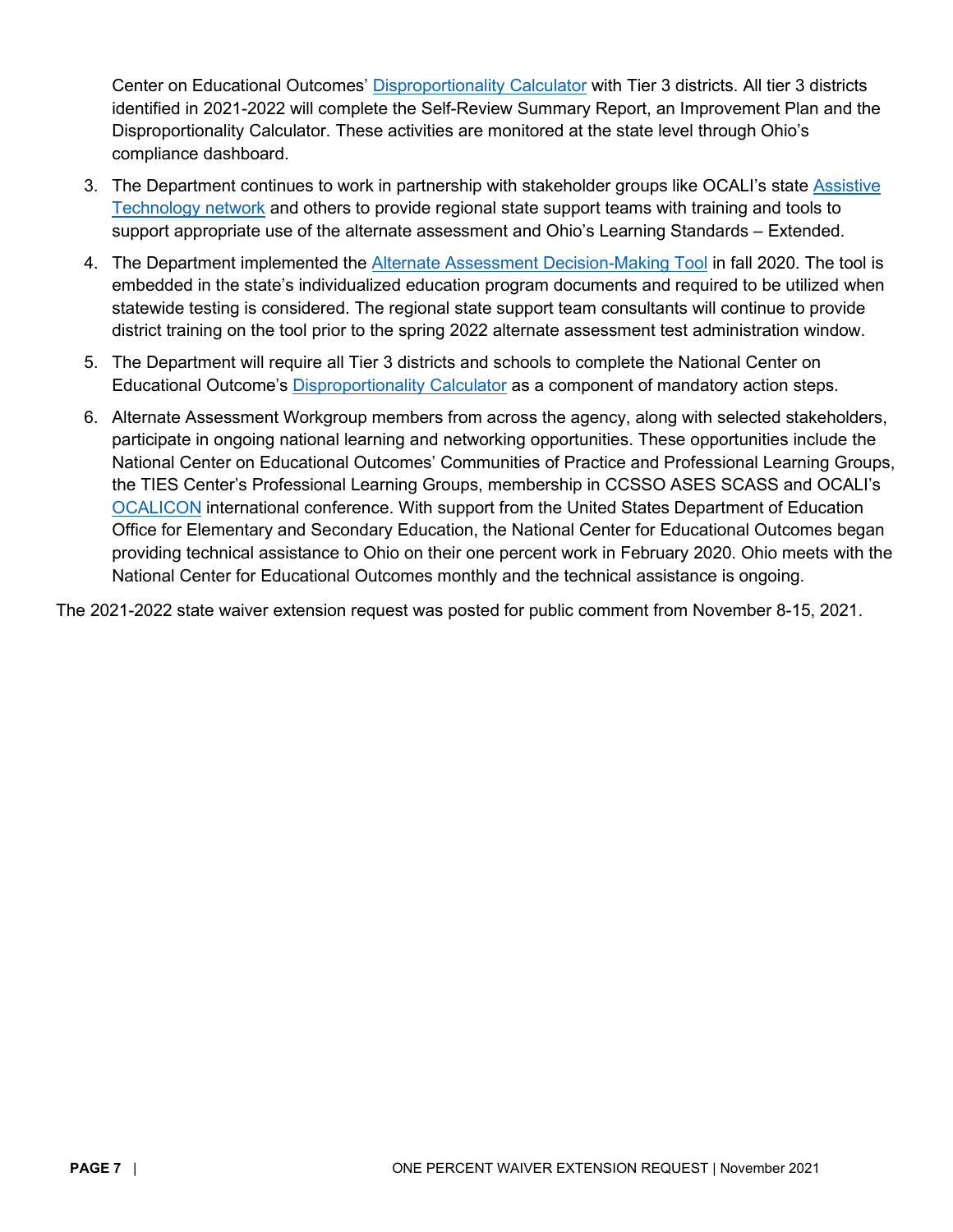Center on Educational Outcomes' [Disproportionality Calculator](https://nceo.umn.edu/docs/OnlinePubs/NCEOBrief18.pdf) with Tier 3 districts. All tier 3 districts identified in 2021-2022 will complete the Self-Review Summary Report, an Improvement Plan and the Disproportionality Calculator. These activities are monitored at the state level through Ohio's compliance dashboard.

- 3. The Department continues to work in partnership with stakeholder groups like OCALI's state Assistive [Technology network](https://ataem.org/) and others to provide regional state support teams with training and tools to support appropriate use of the alternate assessment and Ohio's Learning Standards – Extended.
- 4. The Department implemented the [Alternate Assessment Decision-Making Tool](http://education.ohio.gov/getattachment/Topics/Testing/Ohios-Alternate-Assessment-for-Students-with-Sign/AASCDDecisionmakingTool_Final_Accessible.pdf.aspx?lang=en-US) in fall 2020. The tool is embedded in the state's individualized education program documents and required to be utilized when statewide testing is considered. The regional state support team consultants will continue to provide district training on the tool prior to the spring 2022 alternate assessment test administration window.
- 5. The Department will require all Tier 3 districts and schools to complete the National Center on Educational Outcome's [Disproportionality Calculator](https://nceo.umn.edu/docs/OnlinePubs/NCEOBrief18.pdf) as a component of mandatory action steps.
- 6. Alternate Assessment Workgroup members from across the agency, along with selected stakeholders, participate in ongoing national learning and networking opportunities. These opportunities include the National Center on Educational Outcomes' Communities of Practice and Professional Learning Groups, the TIES Center's Professional Learning Groups, membership in CCSSO ASES SCASS and OCALI's [OCALICON](https://conference.ocali.org/) international conference. With support from the United States Department of Education Office for Elementary and Secondary Education, the National Center for Educational Outcomes began providing technical assistance to Ohio on their one percent work in February 2020. Ohio meets with the National Center for Educational Outcomes monthly and the technical assistance is ongoing.

The 2021-2022 state waiver extension request was posted for public comment from November 8-15, 2021.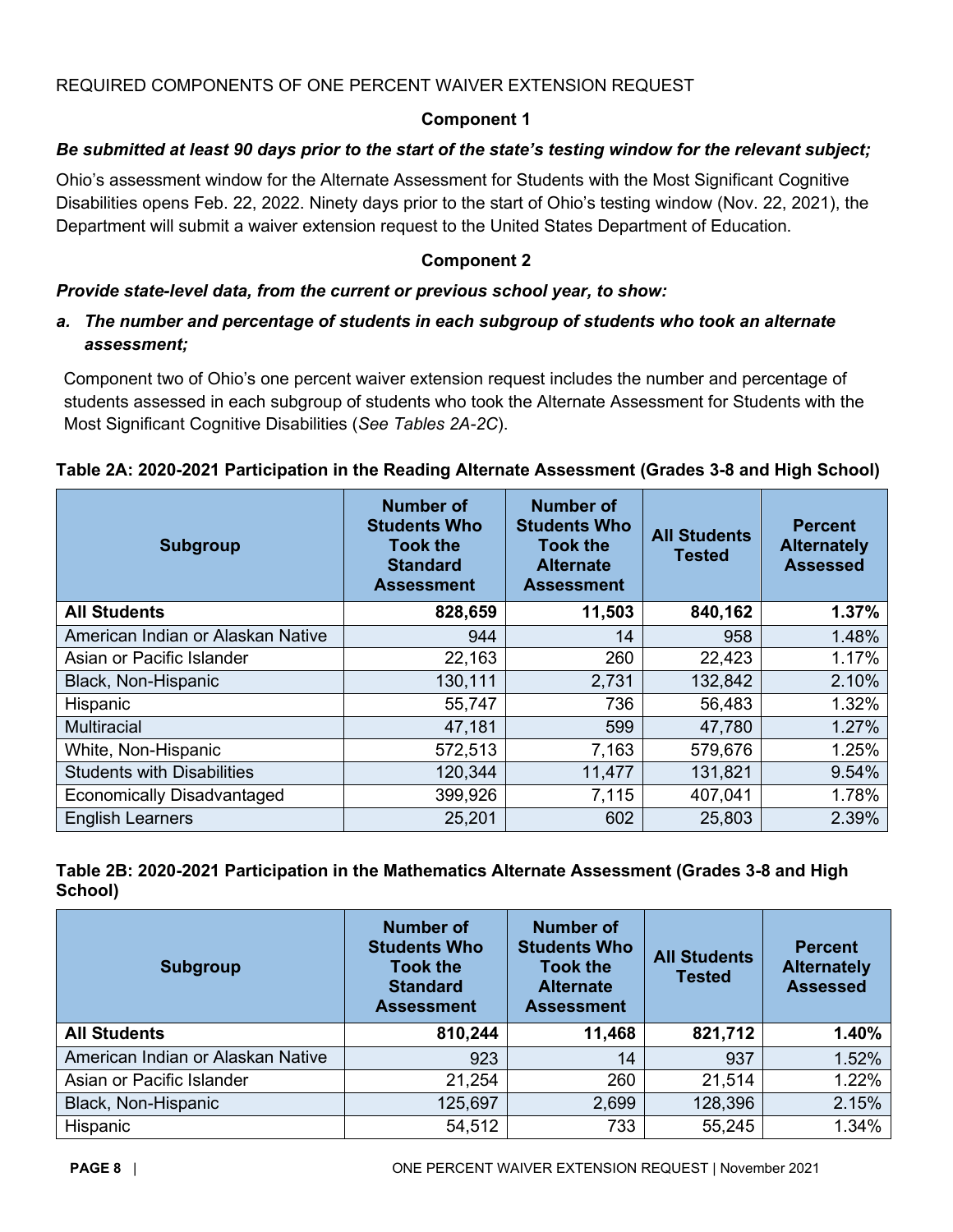## <span id="page-7-0"></span>REQUIRED COMPONENTS OF ONE PERCENT WAIVER EXTENSION REQUEST

# **Component 1**

# *Be submitted at least 90 days prior to the start of the state's testing window for the relevant subject;*

Ohio's assessment window for the Alternate Assessment for Students with the Most Significant Cognitive Disabilities opens Feb. 22, 2022. Ninety days prior to the start of Ohio's testing window (Nov. 22, 2021), the Department will submit a waiver extension request to the United States Department of Education.

### **Component 2**

#### <span id="page-7-1"></span>*Provide state-level data, from the current or previous school year, to show:*

## *a. The number and percentage of students in each subgroup of students who took an alternate assessment;*

Component two of Ohio's one percent waiver extension request includes the number and percentage of students assessed in each subgroup of students who took the Alternate Assessment for Students with the Most Significant Cognitive Disabilities (*See Tables 2A-2C*).

| <b>Subgroup</b>                   | <b>Number of</b><br><b>Students Who</b><br><b>Took the</b><br><b>Standard</b><br><b>Assessment</b> | <b>Number of</b><br><b>Students Who</b><br><b>Took the</b><br><b>Alternate</b><br><b>Assessment</b> | <b>All Students</b><br><b>Tested</b> | <b>Percent</b><br><b>Alternately</b><br><b>Assessed</b> |
|-----------------------------------|----------------------------------------------------------------------------------------------------|-----------------------------------------------------------------------------------------------------|--------------------------------------|---------------------------------------------------------|
| <b>All Students</b>               | 828,659                                                                                            | 11,503                                                                                              | 840,162                              | 1.37%                                                   |
| American Indian or Alaskan Native | 944                                                                                                | 14                                                                                                  | 958                                  | 1.48%                                                   |
| Asian or Pacific Islander         | 22,163                                                                                             | 260                                                                                                 | 22,423                               | 1.17%                                                   |
| Black, Non-Hispanic               | 130,111<br>2,731                                                                                   |                                                                                                     | 132,842                              | 2.10%                                                   |
| Hispanic                          | 55,747                                                                                             | 736                                                                                                 | 56,483                               | 1.32%                                                   |
| <b>Multiracial</b>                | 47,181                                                                                             | 599                                                                                                 | 47,780                               | 1.27%                                                   |
| White, Non-Hispanic               | 572,513                                                                                            | 7,163                                                                                               | 579,676                              | 1.25%                                                   |
| <b>Students with Disabilities</b> | 120,344                                                                                            | 11,477                                                                                              | 131,821                              | 9.54%                                                   |
| <b>Economically Disadvantaged</b> | 399,926                                                                                            | 7,115                                                                                               | 407,041                              | 1.78%                                                   |
| <b>English Learners</b>           | 25,201                                                                                             | 602                                                                                                 | 25,803                               | 2.39%                                                   |

| Table 2B: 2020-2021 Participation in the Mathematics Alternate Assessment (Grades 3-8 and High |  |
|------------------------------------------------------------------------------------------------|--|
| School)                                                                                        |  |

| <b>Subgroup</b>                   | <b>Number of</b><br><b>Students Who</b><br><b>Took the</b><br><b>Standard</b><br><b>Assessment</b> | <b>Number of</b><br><b>Students Who</b><br><b>Took the</b><br><b>Alternate</b><br><b>Assessment</b> | <b>All Students</b><br><b>Tested</b> | <b>Percent</b><br><b>Alternately</b><br><b>Assessed</b> |
|-----------------------------------|----------------------------------------------------------------------------------------------------|-----------------------------------------------------------------------------------------------------|--------------------------------------|---------------------------------------------------------|
| <b>All Students</b>               | 810,244                                                                                            | 11,468                                                                                              | 821,712                              | 1.40%                                                   |
| American Indian or Alaskan Native | 923                                                                                                | 14                                                                                                  | 937                                  | 1.52%                                                   |
| Asian or Pacific Islander         | 21,254                                                                                             | 260                                                                                                 | 21,514                               | 1.22%                                                   |
| Black, Non-Hispanic               | 125,697                                                                                            | 2,699                                                                                               | 128,396                              | 2.15%                                                   |
| Hispanic                          | 54,512                                                                                             | 733                                                                                                 | 55,245                               | 1.34%                                                   |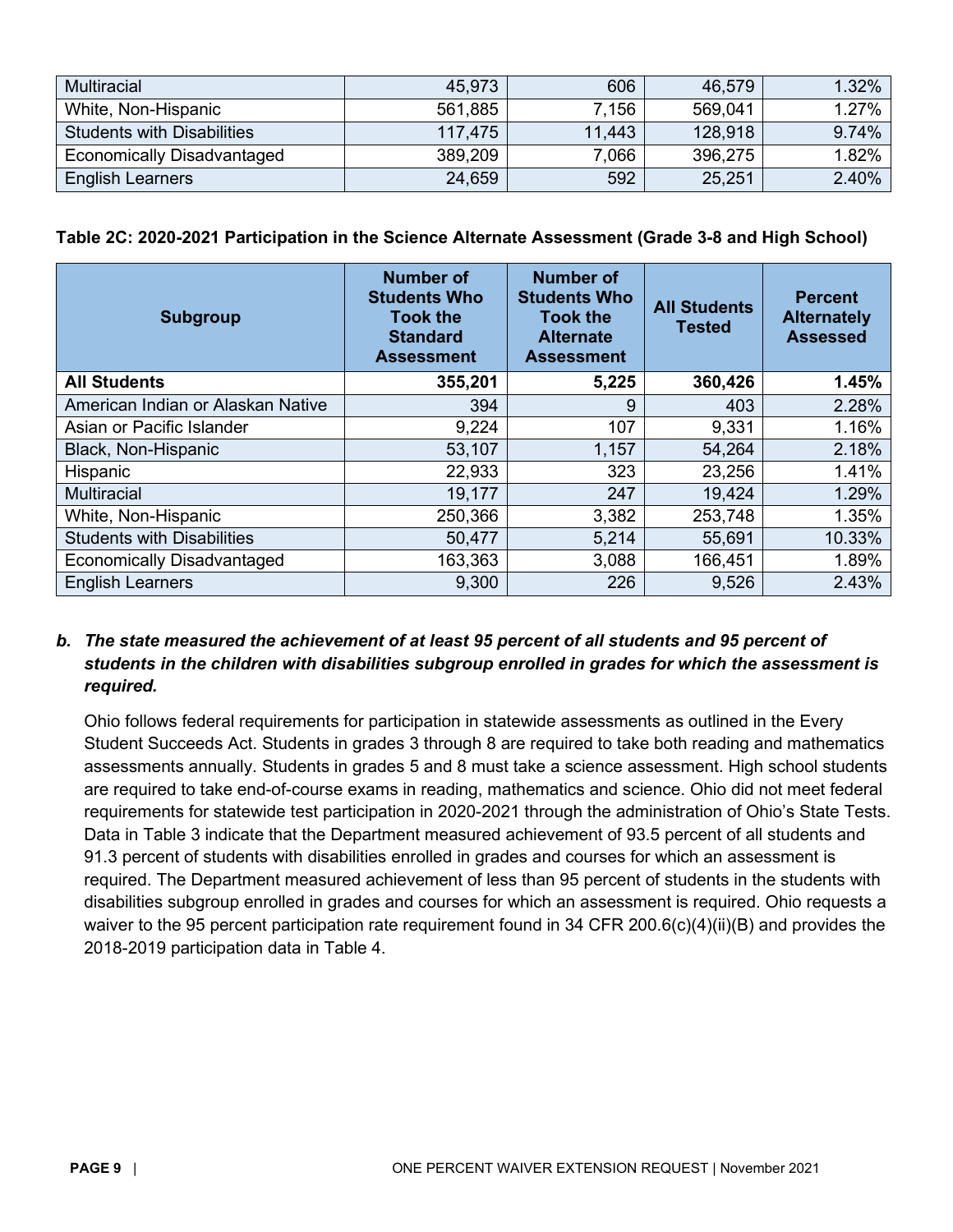| <b>Multiracial</b>                | 45,973  | 606    | 46,579  | $1.32\%$ |
|-----------------------------------|---------|--------|---------|----------|
| White, Non-Hispanic               | 561,885 | 7.156  | 569.041 | 1.27%    |
| <b>Students with Disabilities</b> | 117.475 | 11,443 | 128,918 | 9.74%    |
| <b>Economically Disadvantaged</b> | 389,209 | 7,066  | 396,275 | 1.82%    |
| <b>English Learners</b>           | 24,659  | 592    | 25,251  | 2.40%    |

**Table 2C: 2020-2021 Participation in the Science Alternate Assessment (Grade 3-8 and High School)**

| <b>Subgroup</b>                   | <b>Number of</b><br><b>Students Who</b><br><b>Took the</b><br><b>Standard</b><br><b>Assessment</b> | <b>Number of</b><br><b>Students Who</b><br><b>Took the</b><br><b>Alternate</b><br><b>Assessment</b> | <b>All Students</b><br><b>Tested</b> | <b>Percent</b><br><b>Alternately</b><br><b>Assessed</b> |
|-----------------------------------|----------------------------------------------------------------------------------------------------|-----------------------------------------------------------------------------------------------------|--------------------------------------|---------------------------------------------------------|
| <b>All Students</b>               | 355,201                                                                                            | 5,225                                                                                               | 360,426                              | 1.45%                                                   |
| American Indian or Alaskan Native | 394                                                                                                | 9                                                                                                   |                                      | 2.28%                                                   |
| Asian or Pacific Islander         | 9,224                                                                                              | 107                                                                                                 | 9,331                                | 1.16%                                                   |
| Black, Non-Hispanic               | 53,107<br>1,157                                                                                    |                                                                                                     | 54,264                               | 2.18%                                                   |
| Hispanic                          | 22,933                                                                                             | 323                                                                                                 | 23,256                               | 1.41%                                                   |
| <b>Multiracial</b>                | 19,177                                                                                             | 247                                                                                                 | 19,424                               | 1.29%                                                   |
| White, Non-Hispanic               | 250,366                                                                                            | 3,382                                                                                               | 253,748                              | 1.35%                                                   |
| <b>Students with Disabilities</b> | 50,477                                                                                             | 5,214                                                                                               | 55,691                               | 10.33%                                                  |
| <b>Economically Disadvantaged</b> | 163,363                                                                                            | 3,088                                                                                               | 166,451                              | 1.89%                                                   |
| <b>English Learners</b>           | 9,300                                                                                              | 226                                                                                                 | 9,526                                | 2.43%                                                   |

## *b. The state measured the achievement of at least 95 percent of all students and 95 percent of students in the children with disabilities subgroup enrolled in grades for which the assessment is required.*

Ohio follows federal requirements for participation in statewide assessments as outlined in the Every Student Succeeds Act. Students in grades 3 through 8 are required to take both reading and mathematics assessments annually. Students in grades 5 and 8 must take a science assessment. High school students are required to take end-of-course exams in reading, mathematics and science. Ohio did not meet federal requirements for statewide test participation in 2020-2021 through the administration of Ohio's State Tests. Data in Table 3 indicate that the Department measured achievement of 93.5 percent of all students and 91.3 percent of students with disabilities enrolled in grades and courses for which an assessment is required. The Department measured achievement of less than 95 percent of students in the students with disabilities subgroup enrolled in grades and courses for which an assessment is required. Ohio requests a waiver to the 95 percent participation rate requirement found in 34 CFR 200.6(c)(4)(ii)(B) and provides the 2018-2019 participation data in Table 4.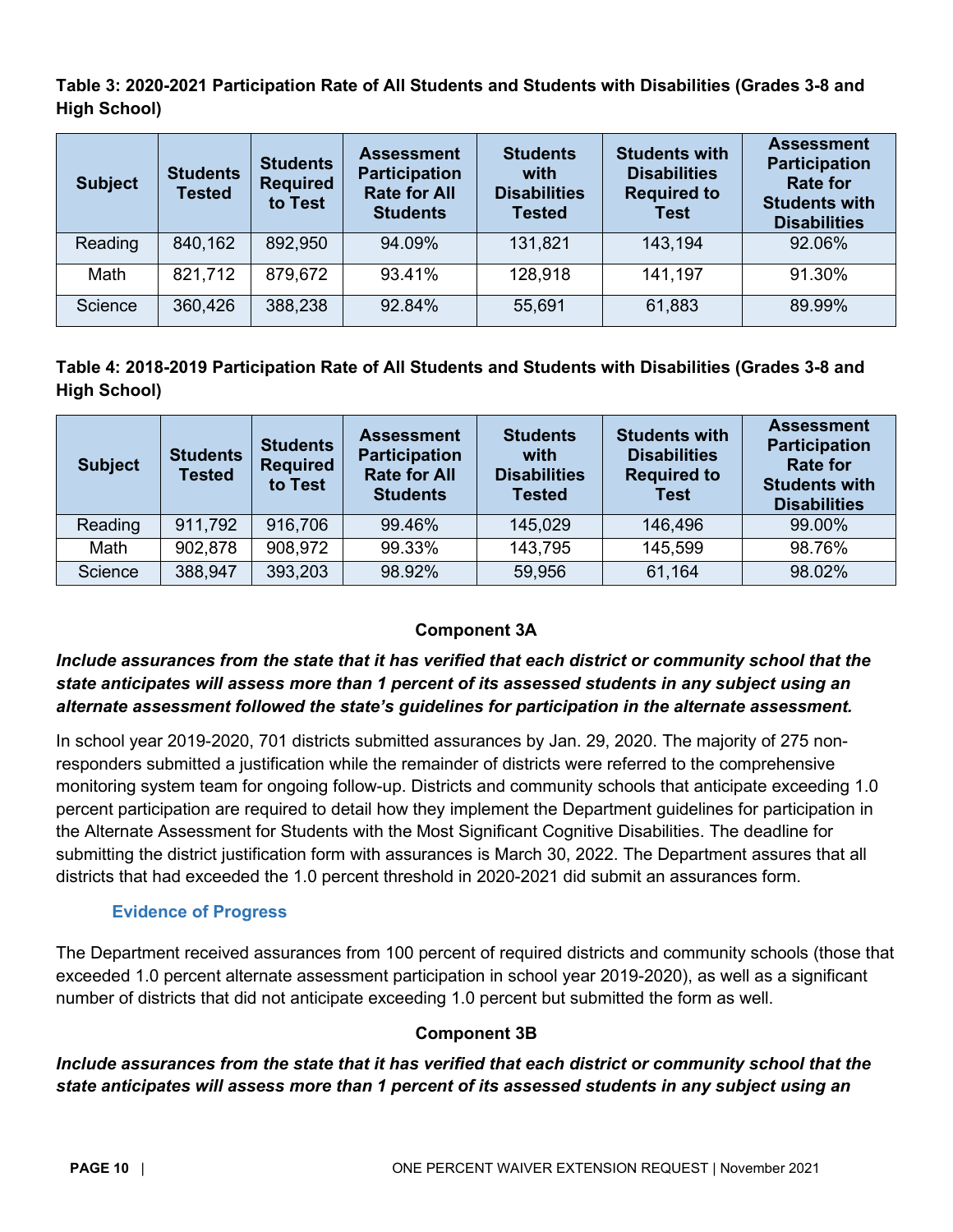**Table 3: 2020-2021 Participation Rate of All Students and Students with Disabilities (Grades 3-8 and High School)**

| <b>Subject</b> | <b>Students</b><br><b>Tested</b> | <b>Students</b><br><b>Required</b><br>to Test | <b>Assessment</b><br><b>Participation</b><br><b>Rate for All</b><br><b>Students</b> | <b>Students</b><br>with<br><b>Disabilities</b><br><b>Tested</b> | <b>Students with</b><br><b>Disabilities</b><br><b>Required to</b><br><b>Test</b> | <b>Assessment</b><br><b>Participation</b><br><b>Rate for</b><br><b>Students with</b><br><b>Disabilities</b> |
|----------------|----------------------------------|-----------------------------------------------|-------------------------------------------------------------------------------------|-----------------------------------------------------------------|----------------------------------------------------------------------------------|-------------------------------------------------------------------------------------------------------------|
| Reading        | 840,162                          | 892,950                                       | 94.09%                                                                              | 131,821                                                         | 143,194                                                                          | 92.06%                                                                                                      |
| Math           | 821,712                          | 879,672                                       | 93.41%                                                                              | 128,918                                                         | 141,197                                                                          | 91.30%                                                                                                      |
| Science        | 360,426                          | 388,238                                       | 92.84%                                                                              | 55,691                                                          | 61,883                                                                           | 89.99%                                                                                                      |

**Table 4: 2018-2019 Participation Rate of All Students and Students with Disabilities (Grades 3-8 and High School)**

| <b>Subject</b> | <b>Students</b><br><b>Tested</b> | <b>Students</b><br><b>Required</b><br>to Test | <b>Assessment</b><br><b>Participation</b><br><b>Rate for All</b><br><b>Students</b> | <b>Students</b><br>with<br><b>Disabilities</b><br><b>Tested</b> | <b>Students with</b><br><b>Disabilities</b><br><b>Required to</b><br><b>Test</b> | <b>Assessment</b><br><b>Participation</b><br><b>Rate for</b><br><b>Students with</b><br><b>Disabilities</b> |
|----------------|----------------------------------|-----------------------------------------------|-------------------------------------------------------------------------------------|-----------------------------------------------------------------|----------------------------------------------------------------------------------|-------------------------------------------------------------------------------------------------------------|
| Reading        | 911,792                          | 916,706                                       | 99.46%                                                                              | 145,029                                                         | 146,496                                                                          | 99.00%                                                                                                      |
| Math           | 902,878                          | 908,972                                       | 99.33%                                                                              | 143,795                                                         | 145,599                                                                          | 98.76%                                                                                                      |
| Science        | 388,947                          | 393,203                                       | 98.92%                                                                              | 59,956                                                          | 61,164                                                                           | 98.02%                                                                                                      |

# **Component 3A**

# <span id="page-9-0"></span>*Include assurances from the state that it has verified that each district or community school that the state anticipates will assess more than 1 percent of its assessed students in any subject using an alternate assessment followed the state's guidelines for participation in the alternate assessment.*

In school year 2019-2020, 701 districts submitted assurances by Jan. 29, 2020. The majority of 275 nonresponders submitted a justification while the remainder of districts were referred to the comprehensive monitoring system team for ongoing follow-up. Districts and community schools that anticipate exceeding 1.0 percent participation are required to detail how they implement the Department guidelines for participation in the Alternate Assessment for Students with the Most Significant Cognitive Disabilities. The deadline for submitting the district justification form with assurances is March 30, 2022. The Department assures that all districts that had exceeded the 1.0 percent threshold in 2020-2021 did submit an assurances form.

# **Evidence of Progress**

<span id="page-9-1"></span>The Department received assurances from 100 percent of required districts and community schools (those that exceeded 1.0 percent alternate assessment participation in school year 2019-2020), as well as a significant number of districts that did not anticipate exceeding 1.0 percent but submitted the form as well.

# **Component 3B**

<span id="page-9-2"></span>*Include assurances from the state that it has verified that each district or community school that the state anticipates will assess more than 1 percent of its assessed students in any subject using an*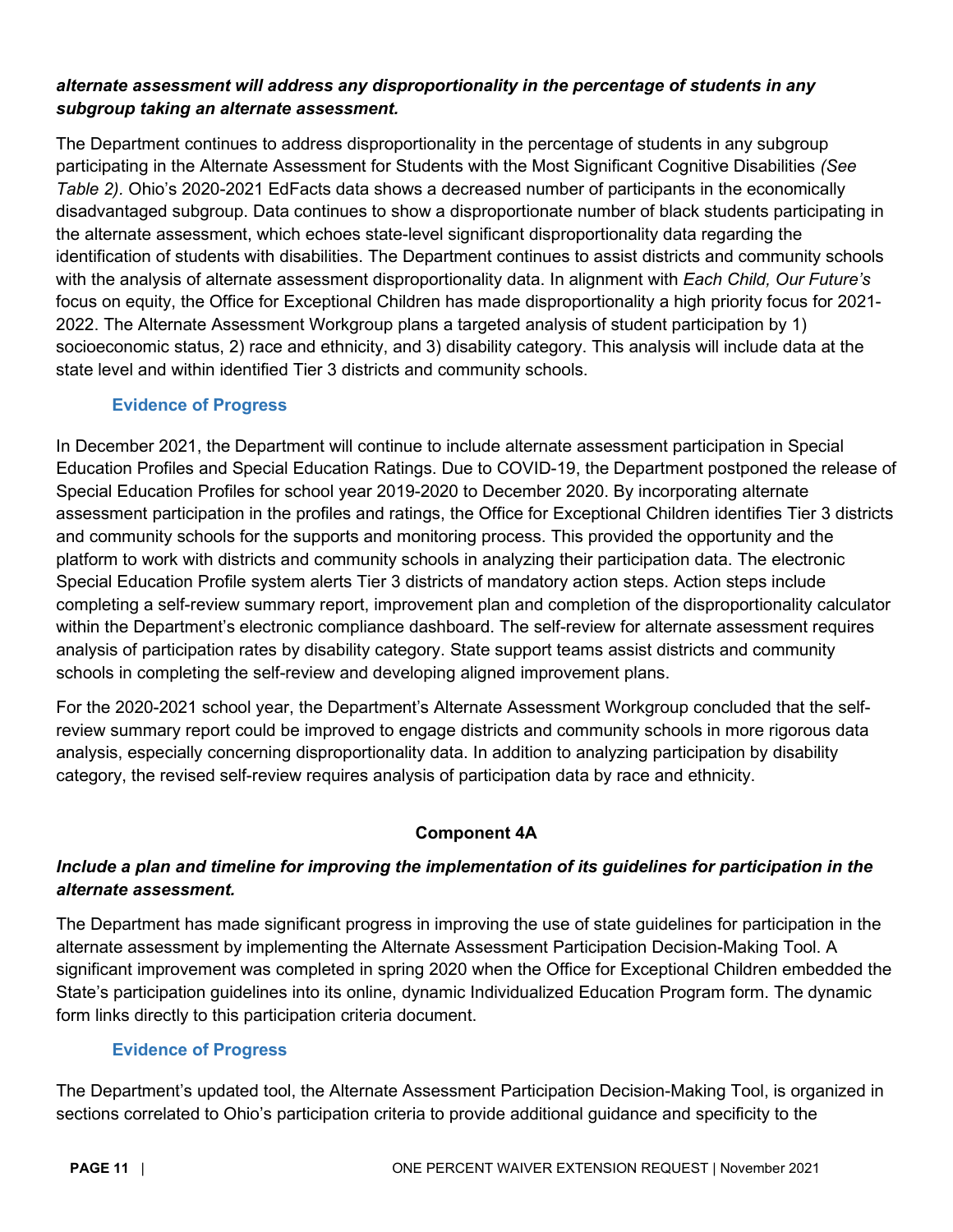## *alternate assessment will address any disproportionality in the percentage of students in any subgroup taking an alternate assessment.*

The Department continues to address disproportionality in the percentage of students in any subgroup participating in the Alternate Assessment for Students with the Most Significant Cognitive Disabilities *(See Table 2).* Ohio's 2020-2021 EdFacts data shows a decreased number of participants in the economically disadvantaged subgroup. Data continues to show a disproportionate number of black students participating in the alternate assessment, which echoes state-level significant disproportionality data regarding the identification of students with disabilities. The Department continues to assist districts and community schools with the analysis of alternate assessment disproportionality data. In alignment with *Each Child, Our Future's* focus on equity, the Office for Exceptional Children has made disproportionality a high priority focus for 2021- 2022. The Alternate Assessment Workgroup plans a targeted analysis of student participation by 1) socioeconomic status, 2) race and ethnicity, and 3) disability category. This analysis will include data at the state level and within identified Tier 3 districts and community schools.

### **Evidence of Progress**

<span id="page-10-0"></span>In December 2021, the Department will continue to include alternate assessment participation in Special Education Profiles and Special Education Ratings. Due to COVID-19, the Department postponed the release of Special Education Profiles for school year 2019-2020 to December 2020. By incorporating alternate assessment participation in the profiles and ratings, the Office for Exceptional Children identifies Tier 3 districts and community schools for the supports and monitoring process. This provided the opportunity and the platform to work with districts and community schools in analyzing their participation data. The electronic Special Education Profile system alerts Tier 3 districts of mandatory action steps. Action steps include completing a self-review summary report, improvement plan and completion of the disproportionality calculator within the Department's electronic compliance dashboard. The self-review for alternate assessment requires analysis of participation rates by disability category. State support teams assist districts and community schools in completing the self-review and developing aligned improvement plans.

For the 2020-2021 school year, the Department's Alternate Assessment Workgroup concluded that the selfreview summary report could be improved to engage districts and community schools in more rigorous data analysis, especially concerning disproportionality data. In addition to analyzing participation by disability category, the revised self-review requires analysis of participation data by race and ethnicity.

#### <span id="page-10-1"></span>**Component 4A**

# *Include a plan and timeline for improving the implementation of its guidelines for participation in the alternate assessment.*

The Department has made significant progress in improving the use of state guidelines for participation in the alternate assessment by implementing the Alternate Assessment Participation Decision-Making Tool. A significant improvement was completed in spring 2020 when the Office for Exceptional Children embedded the State's participation guidelines into its online, dynamic Individualized Education Program form. The dynamic form links directly to this participation criteria document.

# **Evidence of Progress**

<span id="page-10-2"></span>The Department's updated tool, the Alternate Assessment Participation Decision-Making Tool, is organized in sections correlated to Ohio's participation criteria to provide additional guidance and specificity to the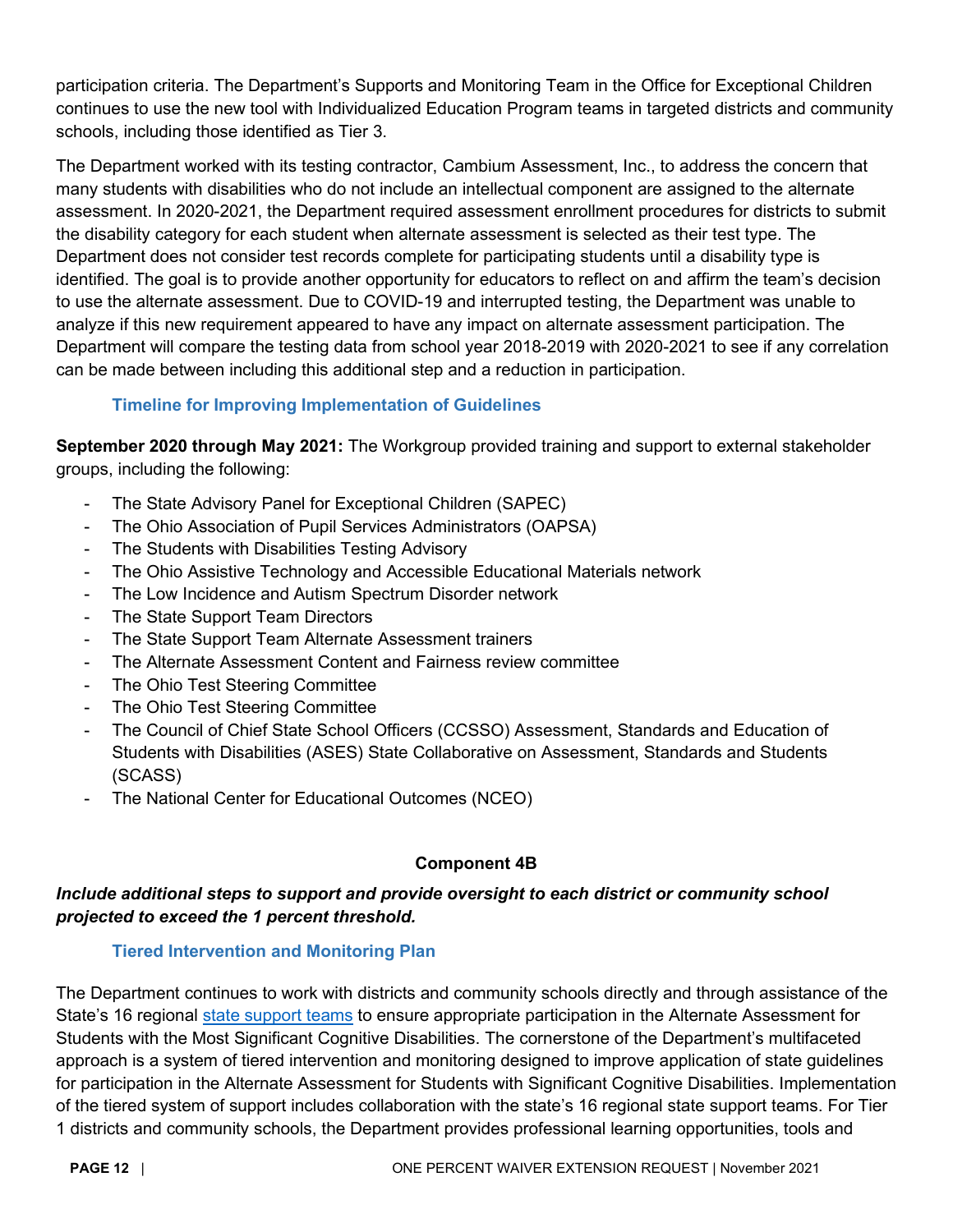participation criteria. The Department's Supports and Monitoring Team in the Office for Exceptional Children continues to use the new tool with Individualized Education Program teams in targeted districts and community schools, including those identified as Tier 3.

The Department worked with its testing contractor, Cambium Assessment, Inc., to address the concern that many students with disabilities who do not include an intellectual component are assigned to the alternate assessment. In 2020-2021, the Department required assessment enrollment procedures for districts to submit the disability category for each student when alternate assessment is selected as their test type. The Department does not consider test records complete for participating students until a disability type is identified. The goal is to provide another opportunity for educators to reflect on and affirm the team's decision to use the alternate assessment. Due to COVID-19 and interrupted testing, the Department was unable to analyze if this new requirement appeared to have any impact on alternate assessment participation. The Department will compare the testing data from school year 2018-2019 with 2020-2021 to see if any correlation can be made between including this additional step and a reduction in participation.

# **Timeline for Improving Implementation of Guidelines**

<span id="page-11-0"></span>**September 2020 through May 2021:** The Workgroup provided training and support to external stakeholder groups, including the following:

- The State Advisory Panel for Exceptional Children (SAPEC)
- The Ohio Association of Pupil Services Administrators (OAPSA)
- The Students with Disabilities Testing Advisory
- The Ohio Assistive Technology and Accessible Educational Materials network
- The Low Incidence and Autism Spectrum Disorder network
- The State Support Team Directors
- The State Support Team Alternate Assessment trainers
- The Alternate Assessment Content and Fairness review committee
- The Ohio Test Steering Committee
- The Ohio Test Steering Committee
- The Council of Chief State School Officers (CCSSO) Assessment, Standards and Education of Students with Disabilities (ASES) State Collaborative on Assessment, Standards and Students (SCASS)
- The National Center for Educational Outcomes (NCEO)

# **Component 4B**

# <span id="page-11-1"></span>*Include additional steps to support and provide oversight to each district or community school projected to exceed the 1 percent threshold.*

# **Tiered Intervention and Monitoring Plan**

<span id="page-11-2"></span>The Department continues to work with districts and community schools directly and through assistance of the State's 16 regional [state support teams](http://education.ohio.gov/Topics/School-Improvement/State-Support-Teams) to ensure appropriate participation in the Alternate Assessment for Students with the Most Significant Cognitive Disabilities. The cornerstone of the Department's multifaceted approach is a system of tiered intervention and monitoring designed to improve application of state guidelines for participation in the Alternate Assessment for Students with Significant Cognitive Disabilities. Implementation of the tiered system of support includes collaboration with the state's 16 regional state support teams. For Tier 1 districts and community schools, the Department provides professional learning opportunities, tools and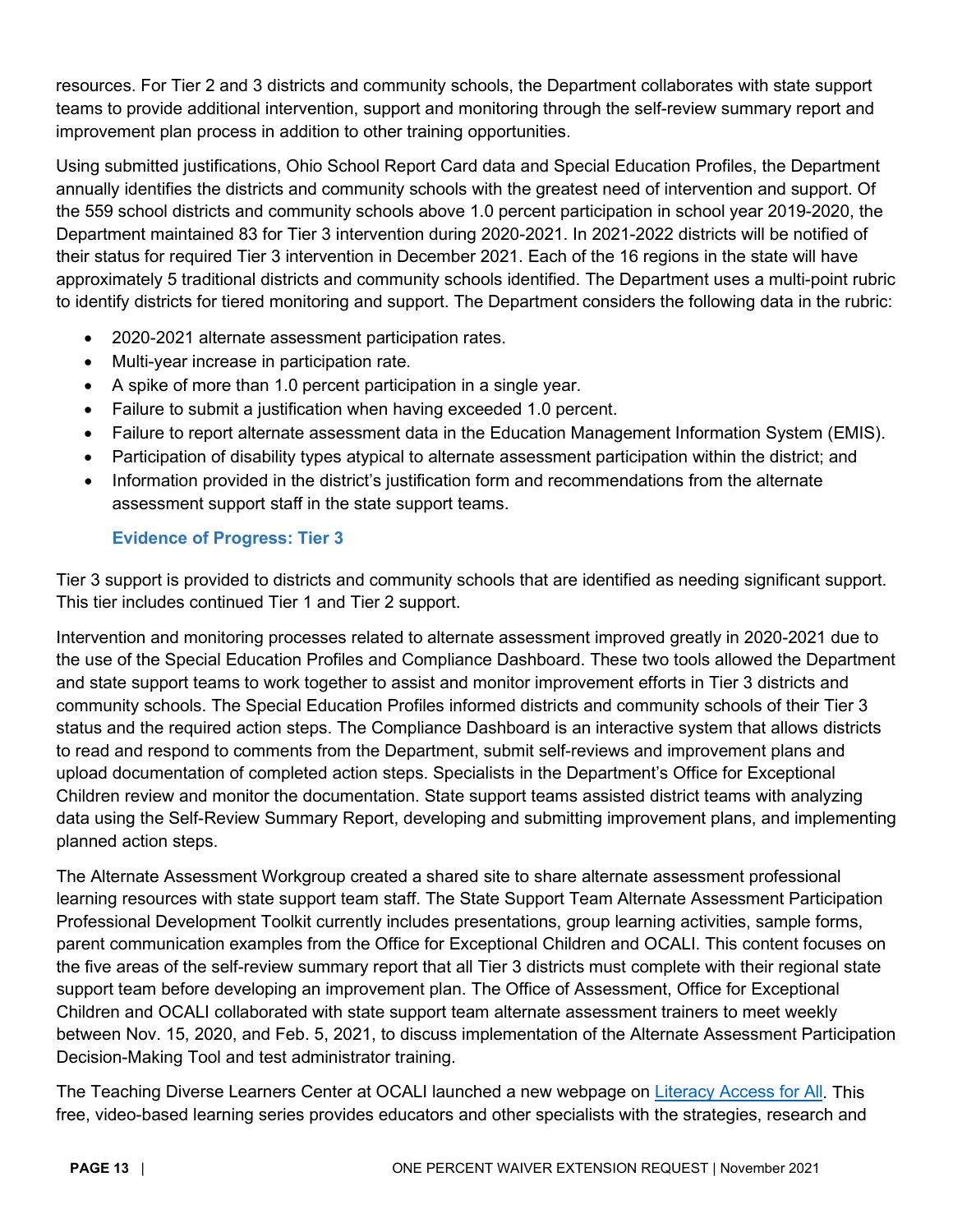resources. For Tier 2 and 3 districts and community schools, the Department collaborates with state support teams to provide additional intervention, support and monitoring through the self-review summary report and improvement plan process in addition to other training opportunities.

Using submitted justifications, Ohio School Report Card data and Special Education Profiles, the Department annually identifies the districts and community schools with the greatest need of intervention and support. Of the 559 school districts and community schools above 1.0 percent participation in school year 2019-2020, the Department maintained 83 for Tier 3 intervention during 2020-2021. In 2021-2022 districts will be notified of their status for required Tier 3 intervention in December 2021. Each of the 16 regions in the state will have approximately 5 traditional districts and community schools identified. The Department uses a multi-point rubric to identify districts for tiered monitoring and support. The Department considers the following data in the rubric:

- 2020-2021 alternate assessment participation rates.
- Multi-year increase in participation rate.
- A spike of more than 1.0 percent participation in a single year.
- Failure to submit a justification when having exceeded 1.0 percent.
- Failure to report alternate assessment data in the Education Management Information System (EMIS).
- Participation of disability types atypical to alternate assessment participation within the district; and
- Information provided in the district's justification form and recommendations from the alternate assessment support staff in the state support teams.

# **Evidence of Progress: Tier 3**

<span id="page-12-0"></span>Tier 3 support is provided to districts and community schools that are identified as needing significant support. This tier includes continued Tier 1 and Tier 2 support.

Intervention and monitoring processes related to alternate assessment improved greatly in 2020-2021 due to the use of the Special Education Profiles and Compliance Dashboard. These two tools allowed the Department and state support teams to work together to assist and monitor improvement efforts in Tier 3 districts and community schools. The Special Education Profiles informed districts and community schools of their Tier 3 status and the required action steps. The Compliance Dashboard is an interactive system that allows districts to read and respond to comments from the Department, submit self-reviews and improvement plans and upload documentation of completed action steps. Specialists in the Department's Office for Exceptional Children review and monitor the documentation. State support teams assisted district teams with analyzing data using the Self-Review Summary Report, developing and submitting improvement plans, and implementing planned action steps.

The Alternate Assessment Workgroup created a shared site to share alternate assessment professional learning resources with state support team staff. The State Support Team Alternate Assessment Participation Professional Development Toolkit currently includes presentations, group learning activities, sample forms, parent communication examples from the Office for Exceptional Children and OCALI. This content focuses on the five areas of the self-review summary report that all Tier 3 districts must complete with their regional state support team before developing an improvement plan. The Office of Assessment, Office for Exceptional Children and OCALI collaborated with state support team alternate assessment trainers to meet weekly between Nov. 15, 2020, and Feb. 5, 2021, to discuss implementation of the Alternate Assessment Participation Decision-Making Tool and test administrator training.

The Teaching Diverse Learners Center at OCALI launched a new webpage on [Literacy Access for All.](https://literacyaccessforall.org/) This free, video-based learning series provides educators and other specialists with the strategies, research and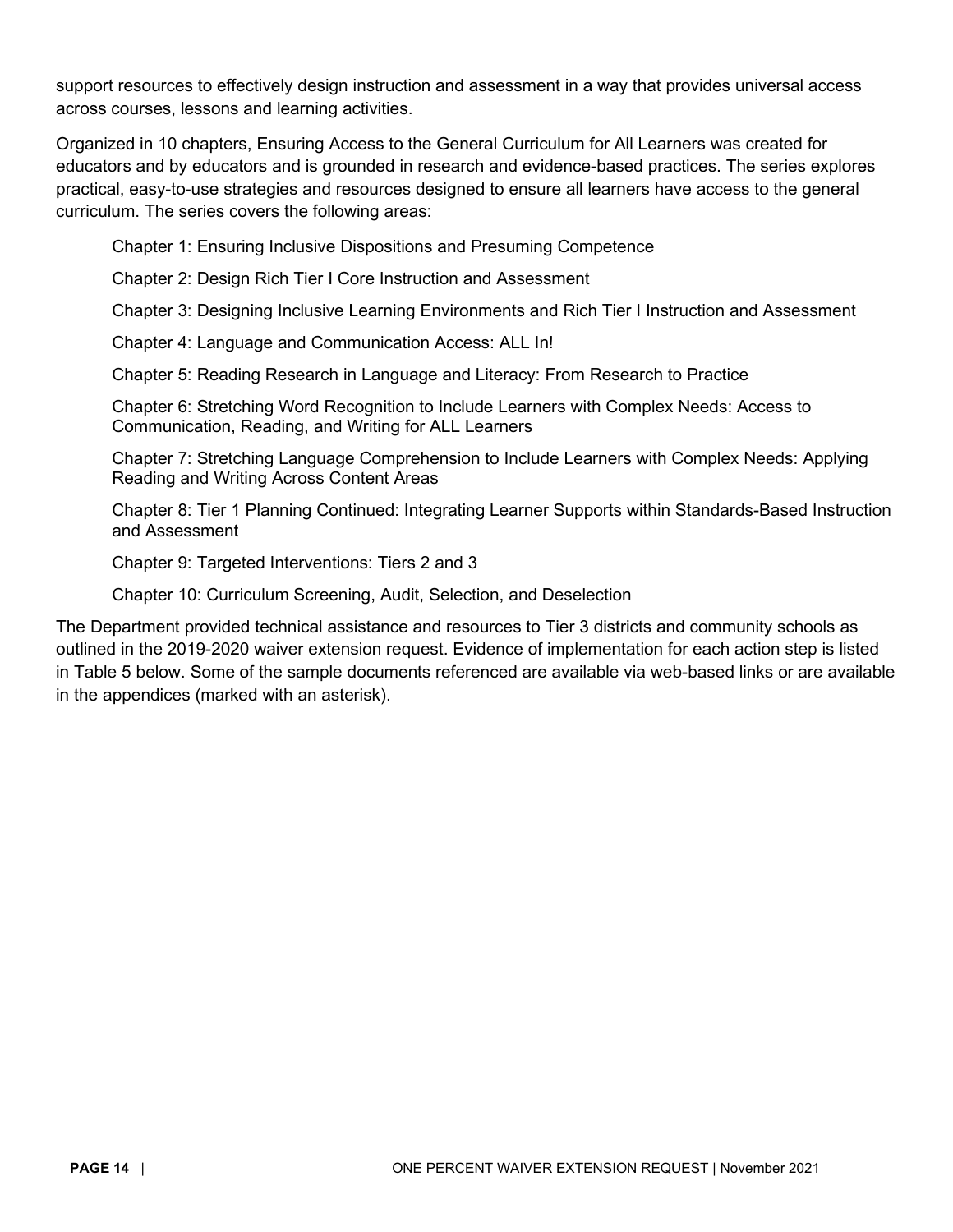support resources to effectively design instruction and assessment in a way that provides universal access across courses, lessons and learning activities.

Organized in 10 chapters, Ensuring Access to the General Curriculum for All Learners was created for educators and by educators and is grounded in research and evidence-based practices. The series explores practical, easy-to-use strategies and resources designed to ensure all learners have access to the general curriculum. The series covers the following areas:

Chapter 1: Ensuring Inclusive Dispositions and Presuming Competence

Chapter 2: Design Rich Tier I Core Instruction and Assessment

Chapter 3: Designing Inclusive Learning Environments and Rich Tier I Instruction and Assessment

Chapter 4: Language and Communication Access: ALL In!

Chapter 5: Reading Research in Language and Literacy: From Research to Practice

Chapter 6: Stretching Word Recognition to Include Learners with Complex Needs: Access to Communication, Reading, and Writing for ALL Learners

Chapter 7: Stretching Language Comprehension to Include Learners with Complex Needs: Applying Reading and Writing Across Content Areas

Chapter 8: Tier 1 Planning Continued: Integrating Learner Supports within Standards-Based Instruction and Assessment

Chapter 9: Targeted Interventions: Tiers 2 and 3

Chapter 10: Curriculum Screening, Audit, Selection, and Deselection

The Department provided technical assistance and resources to Tier 3 districts and community schools as outlined in the 2019-2020 waiver extension request. Evidence of implementation for each action step is listed in Table 5 below. Some of the sample documents referenced are available via web-based links or are available in the appendices (marked with an asterisk).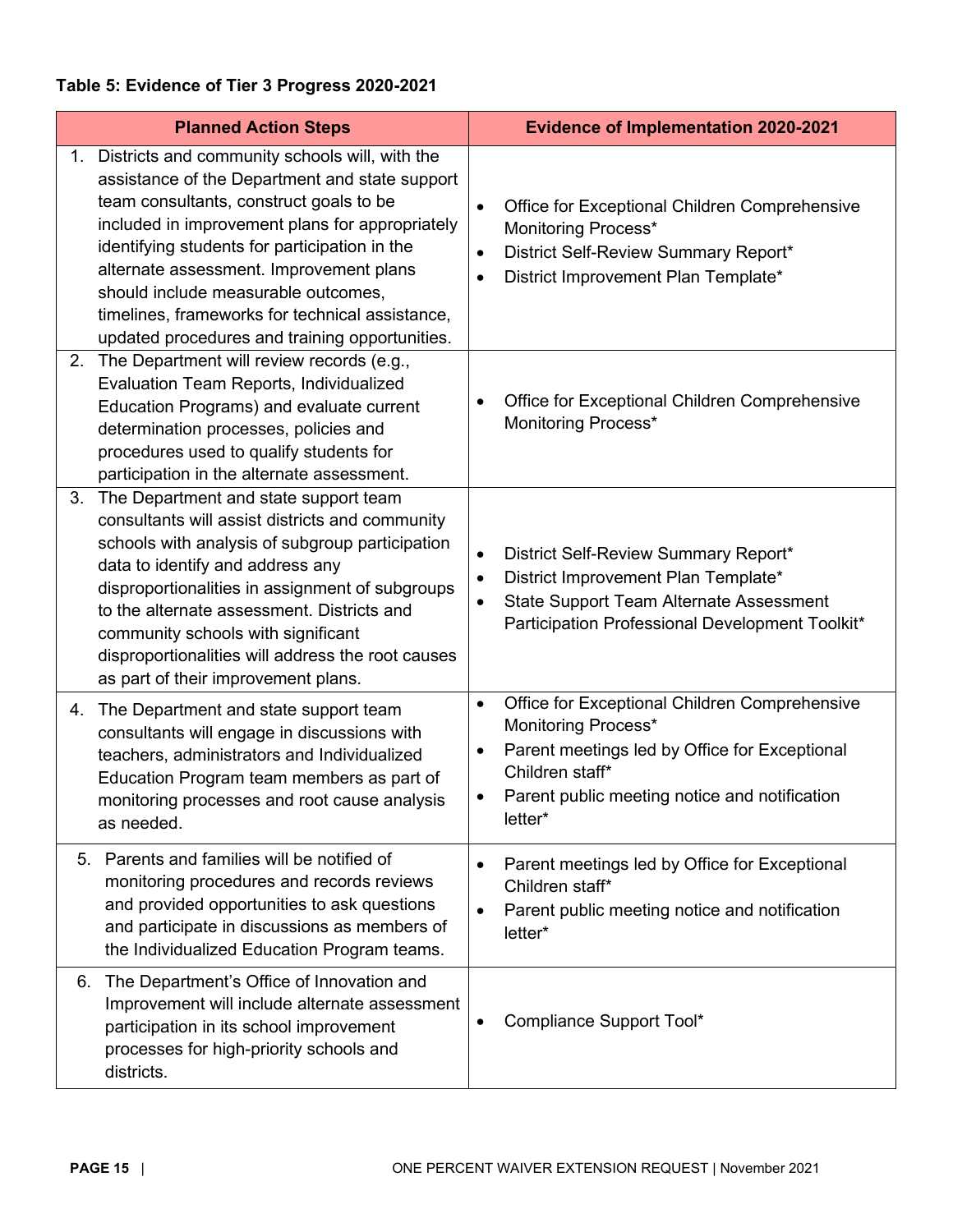# **Table 5: Evidence of Tier 3 Progress 2020-2021**

| <b>Planned Action Steps</b>                                                                                                                                                                                                                                                                                                                                                                                                                           | <b>Evidence of Implementation 2020-2021</b>                                                                                                                                                                                    |
|-------------------------------------------------------------------------------------------------------------------------------------------------------------------------------------------------------------------------------------------------------------------------------------------------------------------------------------------------------------------------------------------------------------------------------------------------------|--------------------------------------------------------------------------------------------------------------------------------------------------------------------------------------------------------------------------------|
| Districts and community schools will, with the<br>$1_{\cdot}$<br>assistance of the Department and state support<br>team consultants, construct goals to be<br>included in improvement plans for appropriately<br>identifying students for participation in the<br>alternate assessment. Improvement plans<br>should include measurable outcomes,<br>timelines, frameworks for technical assistance,<br>updated procedures and training opportunities. | Office for Exceptional Children Comprehensive<br>$\bullet$<br>Monitoring Process*<br>District Self-Review Summary Report*<br>$\bullet$<br>District Improvement Plan Template*<br>$\bullet$                                     |
| The Department will review records (e.g.,<br>2.<br>Evaluation Team Reports, Individualized<br>Education Programs) and evaluate current<br>determination processes, policies and<br>procedures used to qualify students for<br>participation in the alternate assessment.                                                                                                                                                                              | Office for Exceptional Children Comprehensive<br>Monitoring Process*                                                                                                                                                           |
| The Department and state support team<br>3.<br>consultants will assist districts and community<br>schools with analysis of subgroup participation<br>data to identify and address any<br>disproportionalities in assignment of subgroups<br>to the alternate assessment. Districts and<br>community schools with significant<br>disproportionalities will address the root causes<br>as part of their improvement plans.                              | District Self-Review Summary Report*<br>$\bullet$<br>District Improvement Plan Template*<br>$\bullet$<br><b>State Support Team Alternate Assessment</b><br>Participation Professional Development Toolkit*                     |
| The Department and state support team<br>4.<br>consultants will engage in discussions with<br>teachers, administrators and Individualized<br>Education Program team members as part of<br>monitoring processes and root cause analysis<br>as needed.                                                                                                                                                                                                  | Office for Exceptional Children Comprehensive<br>$\bullet$<br>Monitoring Process*<br>Parent meetings led by Office for Exceptional<br>$\bullet$<br>Children staff*<br>Parent public meeting notice and notification<br>letter* |
| Parents and families will be notified of<br>5.<br>monitoring procedures and records reviews<br>and provided opportunities to ask questions<br>and participate in discussions as members of<br>the Individualized Education Program teams.                                                                                                                                                                                                             | Parent meetings led by Office for Exceptional<br>$\bullet$<br>Children staff*<br>Parent public meeting notice and notification<br>$\bullet$<br>letter*                                                                         |
| The Department's Office of Innovation and<br>6.<br>Improvement will include alternate assessment<br>participation in its school improvement<br>processes for high-priority schools and<br>districts.                                                                                                                                                                                                                                                  | Compliance Support Tool*                                                                                                                                                                                                       |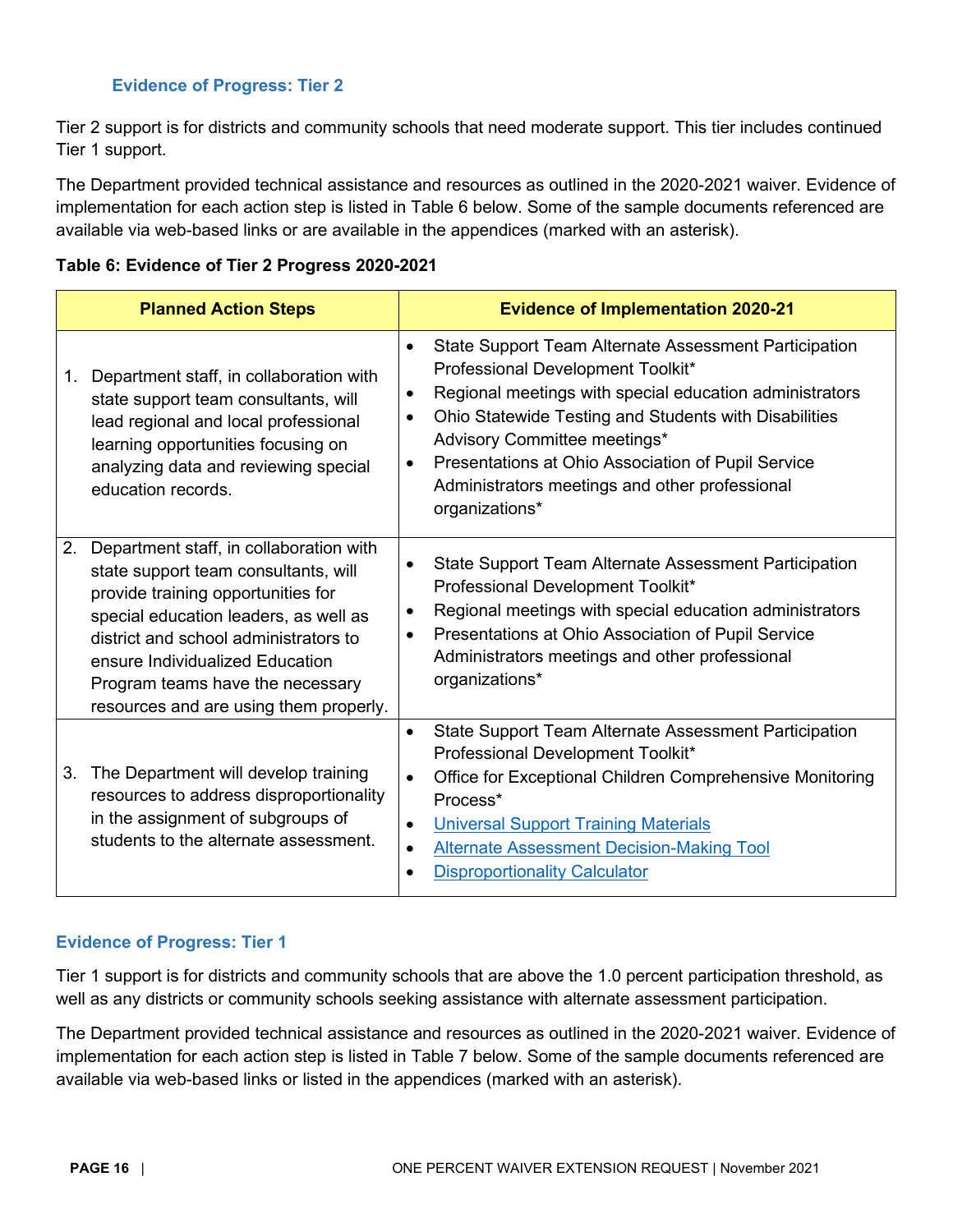#### **Evidence of Progress: Tier 2**

<span id="page-15-0"></span>Tier 2 support is for districts and community schools that need moderate support. This tier includes continued Tier 1 support.

The Department provided technical assistance and resources as outlined in the 2020-2021 waiver. Evidence of implementation for each action step is listed in Table 6 below. Some of the sample documents referenced are available via web-based links or are available in the appendices (marked with an asterisk).

|  |  |  | Table 6: Evidence of Tier 2 Progress 2020-2021 |  |
|--|--|--|------------------------------------------------|--|
|--|--|--|------------------------------------------------|--|

| <b>Planned Action Steps</b>                                                                                                                                                                                                                                                                                                    | <b>Evidence of Implementation 2020-21</b>                                                                                                                                                                                                                                                                                                                                                                                    |
|--------------------------------------------------------------------------------------------------------------------------------------------------------------------------------------------------------------------------------------------------------------------------------------------------------------------------------|------------------------------------------------------------------------------------------------------------------------------------------------------------------------------------------------------------------------------------------------------------------------------------------------------------------------------------------------------------------------------------------------------------------------------|
| Department staff, in collaboration with<br>1.<br>state support team consultants, will<br>lead regional and local professional<br>learning opportunities focusing on<br>analyzing data and reviewing special<br>education records.                                                                                              | State Support Team Alternate Assessment Participation<br>$\bullet$<br>Professional Development Toolkit*<br>Regional meetings with special education administrators<br>$\bullet$<br>Ohio Statewide Testing and Students with Disabilities<br>$\bullet$<br>Advisory Committee meetings*<br>Presentations at Ohio Association of Pupil Service<br>$\bullet$<br>Administrators meetings and other professional<br>organizations* |
| Department staff, in collaboration with<br>2.<br>state support team consultants, will<br>provide training opportunities for<br>special education leaders, as well as<br>district and school administrators to<br>ensure Individualized Education<br>Program teams have the necessary<br>resources and are using them properly. | State Support Team Alternate Assessment Participation<br>$\bullet$<br>Professional Development Toolkit*<br>Regional meetings with special education administrators<br>$\bullet$<br>Presentations at Ohio Association of Pupil Service<br>$\bullet$<br>Administrators meetings and other professional<br>organizations*                                                                                                       |
| The Department will develop training<br>3.<br>resources to address disproportionality<br>in the assignment of subgroups of<br>students to the alternate assessment.                                                                                                                                                            | <b>State Support Team Alternate Assessment Participation</b><br>$\bullet$<br>Professional Development Toolkit*<br>Office for Exceptional Children Comprehensive Monitoring<br>$\bullet$<br>Process*<br><b>Universal Support Training Materials</b><br>$\bullet$<br><b>Alternate Assessment Decision-Making Tool</b><br>$\bullet$<br><b>Disproportionality Calculator</b><br>$\bullet$                                        |

#### <span id="page-15-1"></span>**Evidence of Progress: Tier 1**

Tier 1 support is for districts and community schools that are above the 1.0 percent participation threshold, as well as any districts or community schools seeking assistance with alternate assessment participation.

The Department provided technical assistance and resources as outlined in the 2020-2021 waiver. Evidence of implementation for each action step is listed in Table 7 below. Some of the sample documents referenced are available via web-based links or listed in the appendices (marked with an asterisk).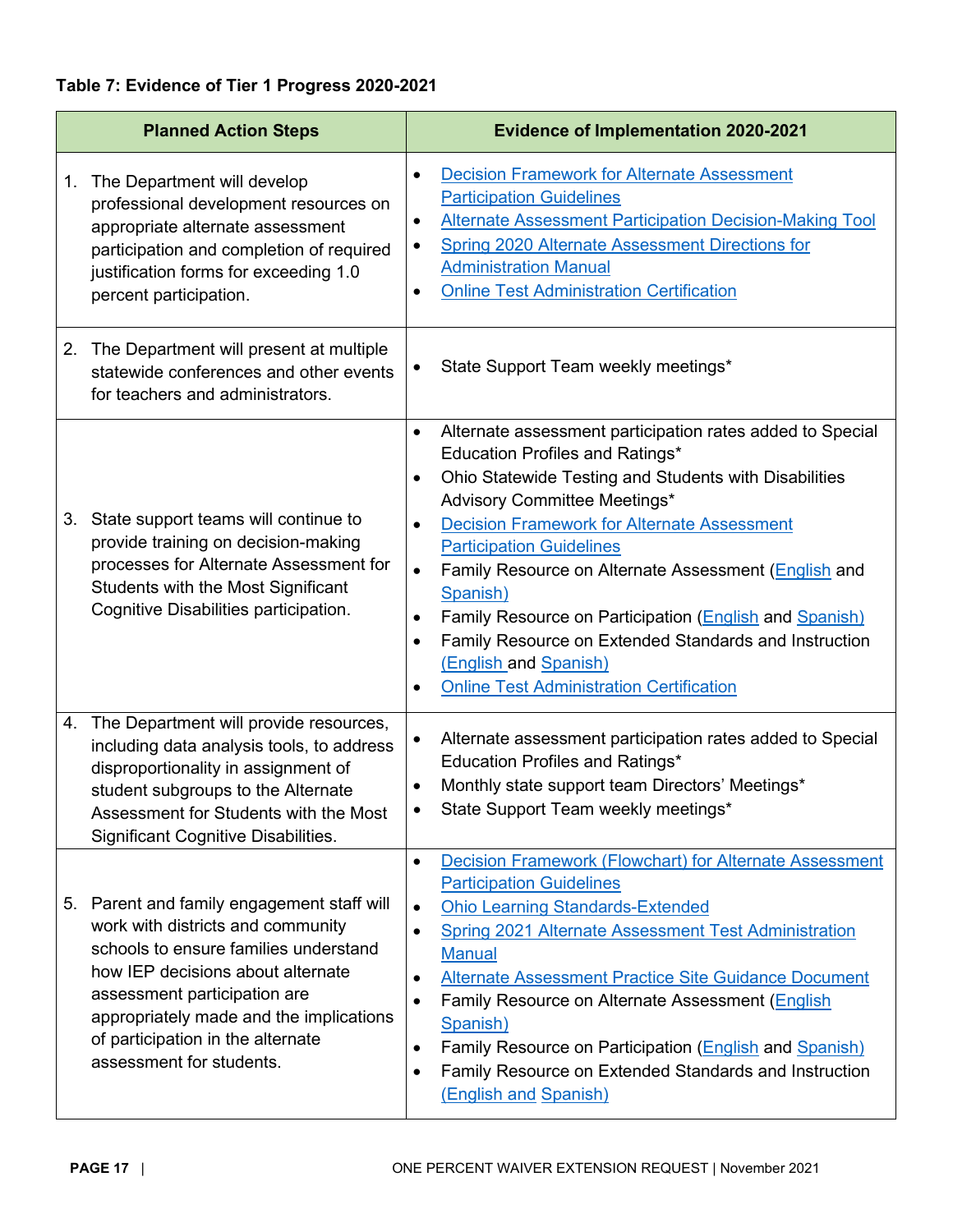# **Table 7: Evidence of Tier 1 Progress 2020-2021**

|    | <b>Planned Action Steps</b>                                                                                                                                                                                                                                                                               | <b>Evidence of Implementation 2020-2021</b>                                                                                                                                                                                                                                                                                                                                                                                                                                                                                                                                                                                         |
|----|-----------------------------------------------------------------------------------------------------------------------------------------------------------------------------------------------------------------------------------------------------------------------------------------------------------|-------------------------------------------------------------------------------------------------------------------------------------------------------------------------------------------------------------------------------------------------------------------------------------------------------------------------------------------------------------------------------------------------------------------------------------------------------------------------------------------------------------------------------------------------------------------------------------------------------------------------------------|
| 1. | The Department will develop<br>professional development resources on<br>appropriate alternate assessment<br>participation and completion of required<br>justification forms for exceeding 1.0<br>percent participation.                                                                                   | <b>Decision Framework for Alternate Assessment</b><br>$\bullet$<br><b>Participation Guidelines</b><br><b>Alternate Assessment Participation Decision-Making Tool</b><br>٠<br><b>Spring 2020 Alternate Assessment Directions for</b><br>٠<br><b>Administration Manual</b><br><b>Online Test Administration Certification</b><br>$\bullet$                                                                                                                                                                                                                                                                                            |
|    | 2. The Department will present at multiple<br>statewide conferences and other events<br>for teachers and administrators.                                                                                                                                                                                  | State Support Team weekly meetings*<br>٠                                                                                                                                                                                                                                                                                                                                                                                                                                                                                                                                                                                            |
|    | 3. State support teams will continue to<br>provide training on decision-making<br>processes for Alternate Assessment for<br>Students with the Most Significant<br>Cognitive Disabilities participation.                                                                                                   | Alternate assessment participation rates added to Special<br>$\bullet$<br><b>Education Profiles and Ratings*</b><br>Ohio Statewide Testing and Students with Disabilities<br>٠<br>Advisory Committee Meetings*<br><b>Decision Framework for Alternate Assessment</b><br>$\bullet$<br><b>Participation Guidelines</b><br>Family Resource on Alternate Assessment (English and<br>$\bullet$<br>Spanish)<br>Family Resource on Participation (English and Spanish)<br>٠<br>Family Resource on Extended Standards and Instruction<br>$\bullet$<br>(English and Spanish)<br><b>Online Test Administration Certification</b><br>$\bullet$ |
|    | 4. The Department will provide resources,<br>including data analysis tools, to address<br>disproportionality in assignment of<br>student subgroups to the Alternate<br>Assessment for Students with the Most<br>Significant Cognitive Disabilities.                                                       | Alternate assessment participation rates added to Special<br>٠<br><b>Education Profiles and Ratings*</b><br>Monthly state support team Directors' Meetings*<br>٠<br>State Support Team weekly meetings*                                                                                                                                                                                                                                                                                                                                                                                                                             |
|    | 5. Parent and family engagement staff will<br>work with districts and community<br>schools to ensure families understand<br>how IEP decisions about alternate<br>assessment participation are<br>appropriately made and the implications<br>of participation in the alternate<br>assessment for students. | <b>Decision Framework (Flowchart) for Alternate Assessment</b><br>$\bullet$<br><b>Participation Guidelines</b><br><b>Ohio Learning Standards-Extended</b><br>$\bullet$<br><b>Spring 2021 Alternate Assessment Test Administration</b><br>$\bullet$<br><b>Manual</b><br><b>Alternate Assessment Practice Site Guidance Document</b><br>$\bullet$<br>Family Resource on Alternate Assessment (English<br>٠<br>Spanish)<br>Family Resource on Participation (English and Spanish)<br>$\bullet$<br>Family Resource on Extended Standards and Instruction<br>$\bullet$<br>(English and Spanish)                                          |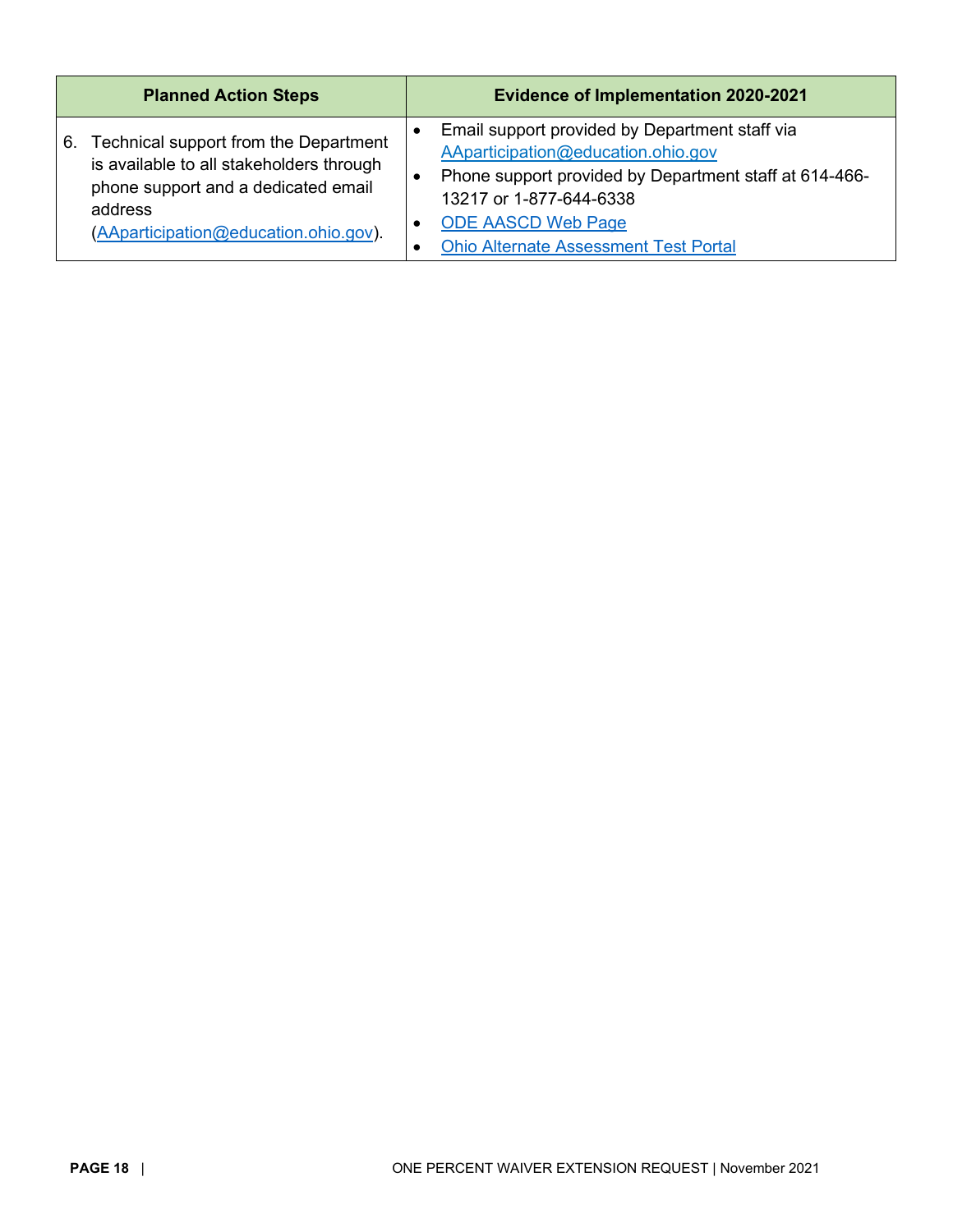| <b>Planned Action Steps</b>              | <b>Evidence of Implementation 2020-2021</b>            |
|------------------------------------------|--------------------------------------------------------|
| Technical support from the Department    | Email support provided by Department staff via         |
| 6.                                       | AAparticipation@education.ohio.gov                     |
| is available to all stakeholders through | Phone support provided by Department staff at 614-466- |
| phone support and a dedicated email      | 13217 or 1-877-644-6338                                |
| address                                  | <b>ODE AASCD Web Page</b>                              |
| (AAparticipation@education.ohio.gov).    | <b>Ohio Alternate Assessment Test Portal</b>           |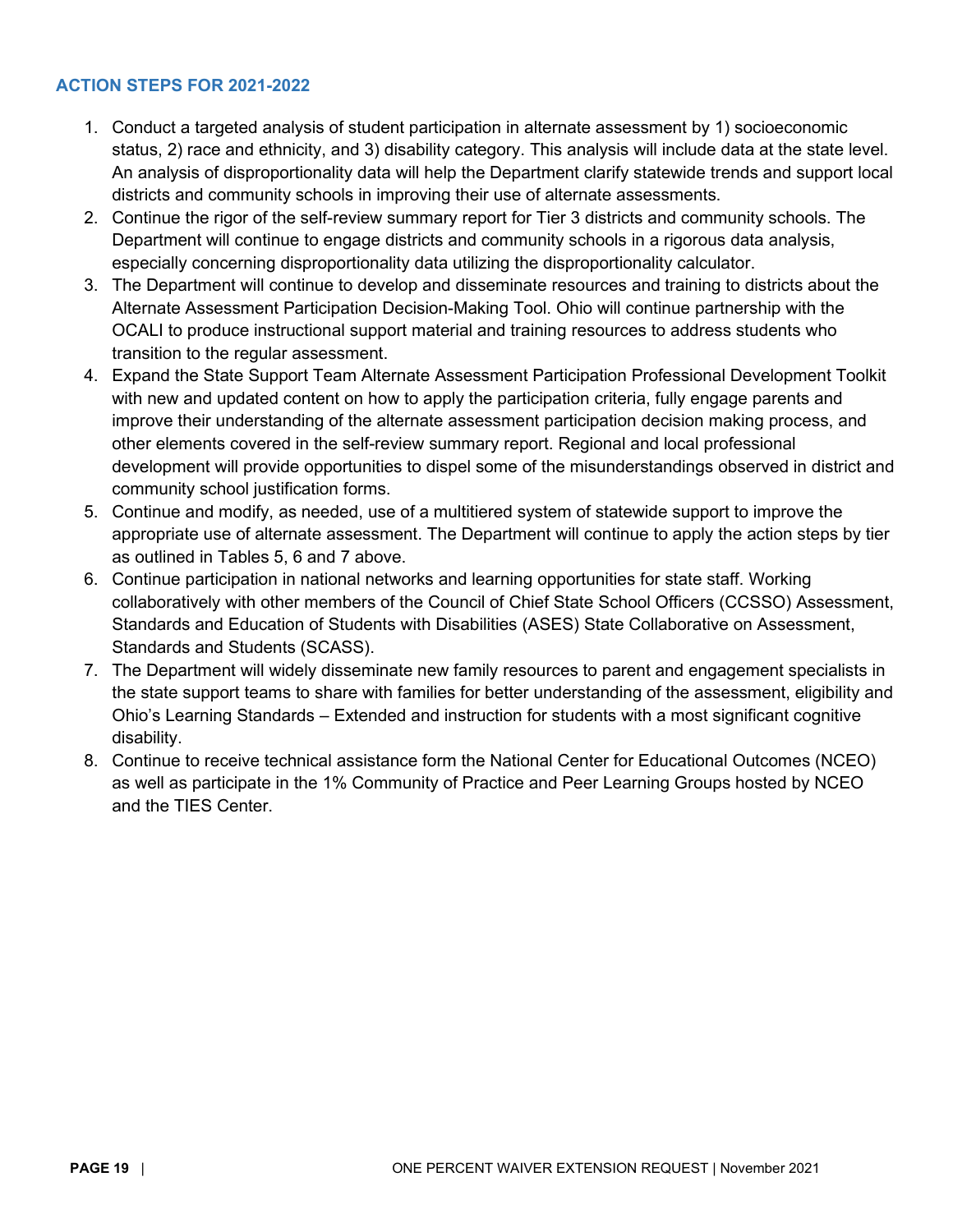#### <span id="page-18-0"></span>**ACTION STEPS FOR 2021-2022**

- 1. Conduct a targeted analysis of student participation in alternate assessment by 1) socioeconomic status, 2) race and ethnicity, and 3) disability category. This analysis will include data at the state level. An analysis of disproportionality data will help the Department clarify statewide trends and support local districts and community schools in improving their use of alternate assessments.
- 2. Continue the rigor of the self-review summary report for Tier 3 districts and community schools. The Department will continue to engage districts and community schools in a rigorous data analysis, especially concerning disproportionality data utilizing the disproportionality calculator.
- 3. The Department will continue to develop and disseminate resources and training to districts about the Alternate Assessment Participation Decision-Making Tool. Ohio will continue partnership with the OCALI to produce instructional support material and training resources to address students who transition to the regular assessment.
- 4. Expand the State Support Team Alternate Assessment Participation Professional Development Toolkit with new and updated content on how to apply the participation criteria, fully engage parents and improve their understanding of the alternate assessment participation decision making process, and other elements covered in the self-review summary report. Regional and local professional development will provide opportunities to dispel some of the misunderstandings observed in district and community school justification forms.
- 5. Continue and modify, as needed, use of a multitiered system of statewide support to improve the appropriate use of alternate assessment. The Department will continue to apply the action steps by tier as outlined in Tables 5, 6 and 7 above.
- 6. Continue participation in national networks and learning opportunities for state staff. Working collaboratively with other members of the Council of Chief State School Officers (CCSSO) Assessment, Standards and Education of Students with Disabilities (ASES) State Collaborative on Assessment, Standards and Students (SCASS).
- 7. The Department will widely disseminate new family resources to parent and engagement specialists in the state support teams to share with families for better understanding of the assessment, eligibility and Ohio's Learning Standards – Extended and instruction for students with a most significant cognitive disability.
- <span id="page-18-1"></span>8. Continue to receive technical assistance form the National Center for Educational Outcomes (NCEO) as well as participate in the 1% Community of Practice and Peer Learning Groups hosted by NCEO and the TIES Center.